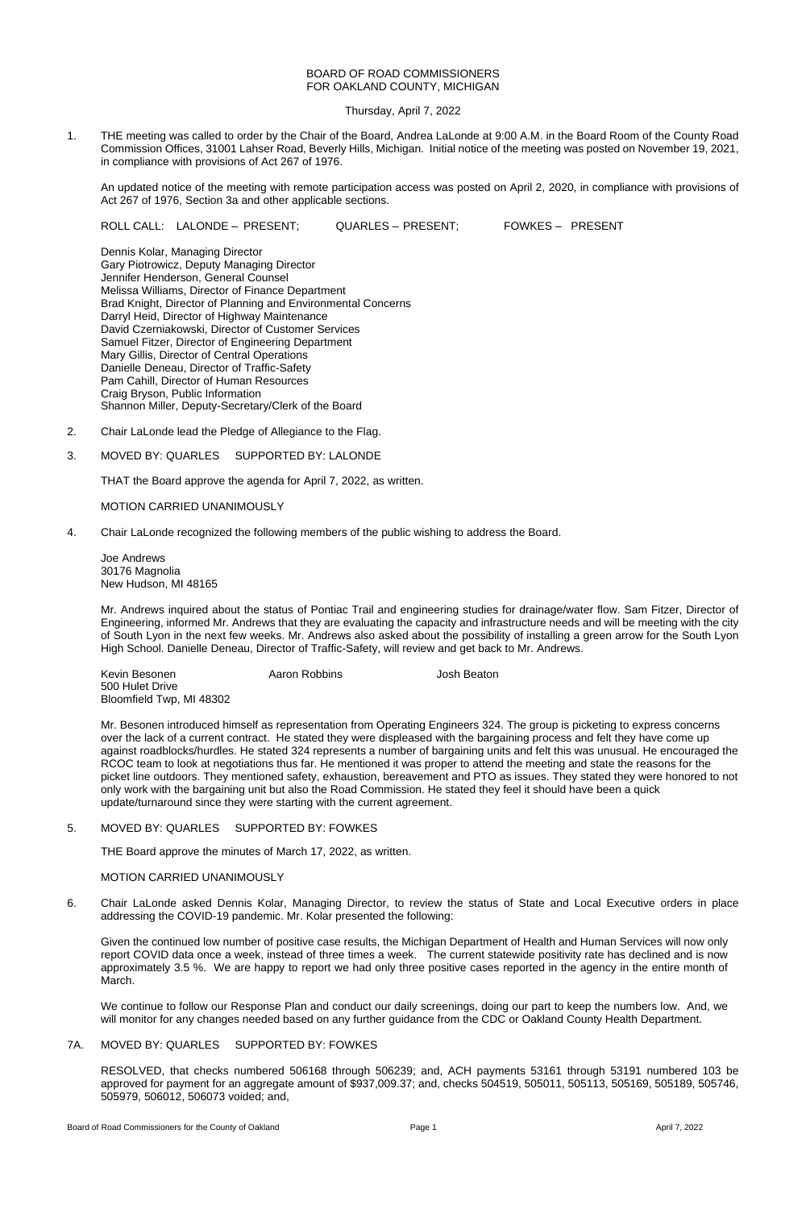## BOARD OF ROAD COMMISSIONERS FOR OAKLAND COUNTY, MICHIGAN

Thursday, April 7, 2022

1. THE meeting was called to order by the Chair of the Board, Andrea LaLonde at 9:00 A.M. in the Board Room of the County Road Commission Offices, 31001 Lahser Road, Beverly Hills, Michigan. Initial notice of the meeting was posted on November 19, 2021, in compliance with provisions of Act 267 of 1976.

An updated notice of the meeting with remote participation access was posted on April 2, 2020, in compliance with provisions of Act 267 of 1976, Section 3a and other applicable sections.

ROLL CALL: LALONDE – PRESENT; QUARLES – PRESENT; FOWKES – PRESENT

Dennis Kolar, Managing Director Gary Piotrowicz, Deputy Managing Director Jennifer Henderson, General Counsel Melissa Williams, Director of Finance Department Brad Knight, Director of Planning and Environmental Concerns Darryl Heid, Director of Highway Maintenance David Czerniakowski, Director of Customer Services Samuel Fitzer, Director of Engineering Department Mary Gillis, Director of Central Operations Danielle Deneau, Director of Traffic-Safety Pam Cahill, Director of Human Resources Craig Bryson, Public Information Shannon Miller, Deputy-Secretary/Clerk of the Board

- 2. Chair LaLonde lead the Pledge of Allegiance to the Flag.
- 3. MOVED BY: QUARLES SUPPORTED BY: LALONDE

THAT the Board approve the agenda for April 7, 2022, as written.

MOTION CARRIED UNANIMOUSLY

4. Chair LaLonde recognized the following members of the public wishing to address the Board.

Joe Andrews 30176 Magnolia New Hudson, MI 48165

Mr. Andrews inquired about the status of Pontiac Trail and engineering studies for drainage/water flow. Sam Fitzer, Director of Engineering, informed Mr. Andrews that they are evaluating the capacity and infrastructure needs and will be meeting with the city of South Lyon in the next few weeks. Mr. Andrews also asked about the possibility of installing a green arrow for the South Lyon High School. Danielle Deneau, Director of Traffic-Safety, will review and get back to Mr. Andrews.

Kevin Besonen Aaron Robbins Josh Beaton 500 Hulet Drive Bloomfield Twp, MI 48302

Mr. Besonen introduced himself as representation from Operating Engineers 324. The group is picketing to express concerns over the lack of a current contract. He stated they were displeased with the bargaining process and felt they have come up against roadblocks/hurdles. He stated 324 represents a number of bargaining units and felt this was unusual. He encouraged the RCOC team to look at negotiations thus far. He mentioned it was proper to attend the meeting and state the reasons for the picket line outdoors. They mentioned safety, exhaustion, bereavement and PTO as issues. They stated they were honored to not only work with the bargaining unit but also the Road Commission. He stated they feel it should have been a quick update/turnaround since they were starting with the current agreement.

THE Board approve the minutes of March 17, 2022, as written.

# MOTION CARRIED UNANIMOUSLY

6. Chair LaLonde asked Dennis Kolar, Managing Director, to review the status of State and Local Executive orders in place addressing the COVID-19 pandemic. Mr. Kolar presented the following:

Given the continued low number of positive case results, the Michigan Department of Health and Human Services will now only report COVID data once a week, instead of three times a week. The current statewide positivity rate has declined and is now approximately 3.5 %. We are happy to report we had only three positive cases reported in the agency in the entire month of March.

We continue to follow our Response Plan and conduct our daily screenings, doing our part to keep the numbers low. And, we will monitor for any changes needed based on any further guidance from the CDC or Oakland County Health Department.

# 7A. MOVED BY: QUARLES SUPPORTED BY: FOWKES

RESOLVED, that checks numbered 506168 through 506239; and, ACH payments 53161 through 53191 numbered 103 be approved for payment for an aggregate amount of \$937,009.37; and, checks 504519, 505011, 505113, 505169, 505189, 505746, 505979, 506012, 506073 voided; and,

Board of Road Commissioners for the County of Oakland **Page 1 Page 1 April 7, 2022 April 7, 2022**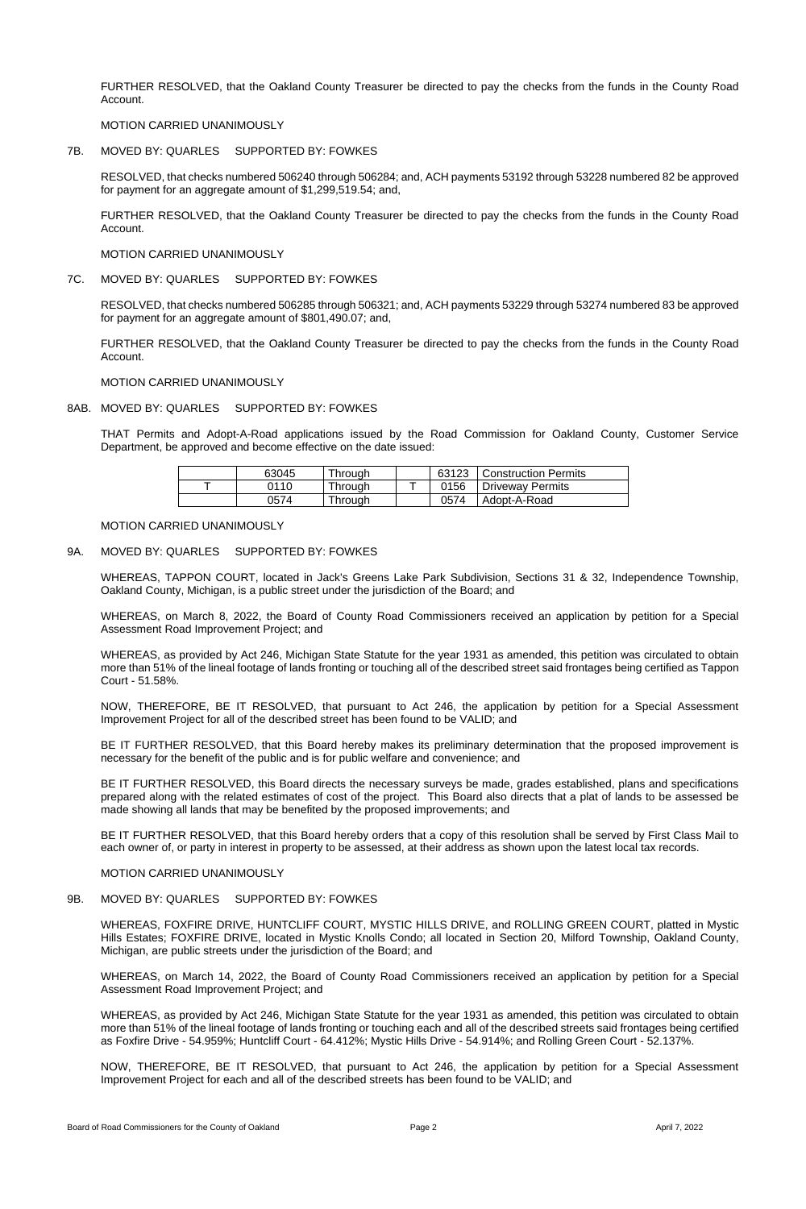FURTHER RESOLVED, that the Oakland County Treasurer be directed to pay the checks from the funds in the County Road Account.

MOTION CARRIED UNANIMOUSLY

7B. MOVED BY: QUARLES SUPPORTED BY: FOWKES

RESOLVED, that checks numbered 506240 through 506284; and, ACH payments 53192 through 53228 numbered 82 be approved for payment for an aggregate amount of \$1,299,519.54; and,

FURTHER RESOLVED, that the Oakland County Treasurer be directed to pay the checks from the funds in the County Road Account.

MOTION CARRIED UNANIMOUSLY

7C. MOVED BY: QUARLES SUPPORTED BY: FOWKES

RESOLVED, that checks numbered 506285 through 506321; and, ACH payments 53229 through 53274 numbered 83 be approved for payment for an aggregate amount of \$801,490.07; and,

FURTHER RESOLVED, that the Oakland County Treasurer be directed to pay the checks from the funds in the County Road Account.

MOTION CARRIED UNANIMOUSLY

8AB. MOVED BY: QUARLES SUPPORTED BY: FOWKES

THAT Permits and Adopt-A-Road applications issued by the Road Commission for Oakland County, Customer Service Department, be approved and become effective on the date issued:

| 63045 | Through |      | 63123   Construction Permits |
|-------|---------|------|------------------------------|
| 0110  | Through | 0156 | Driveway Permits             |
| 0574  | Through | 0574 | Adopt-A-Road                 |

MOTION CARRIED UNANIMOUSLY

## 9A. MOVED BY: QUARLES SUPPORTED BY: FOWKES

WHEREAS, TAPPON COURT, located in Jack's Greens Lake Park Subdivision, Sections 31 & 32, Independence Township, Oakland County, Michigan, is a public street under the jurisdiction of the Board; and

WHEREAS, on March 8, 2022, the Board of County Road Commissioners received an application by petition for a Special Assessment Road Improvement Project; and

WHEREAS, as provided by Act 246, Michigan State Statute for the year 1931 as amended, this petition was circulated to obtain more than 51% of the lineal footage of lands fronting or touching all of the described street said frontages being certified as Tappon Court - 51.58%.

NOW, THEREFORE, BE IT RESOLVED, that pursuant to Act 246, the application by petition for a Special Assessment Improvement Project for all of the described street has been found to be VALID; and

BE IT FURTHER RESOLVED, that this Board hereby makes its preliminary determination that the proposed improvement is necessary for the benefit of the public and is for public welfare and convenience; and

BE IT FURTHER RESOLVED, this Board directs the necessary surveys be made, grades established, plans and specifications prepared along with the related estimates of cost of the project. This Board also directs that a plat of lands to be assessed be made showing all lands that may be benefited by the proposed improvements; and

BE IT FURTHER RESOLVED, that this Board hereby orders that a copy of this resolution shall be served by First Class Mail to

each owner of, or party in interest in property to be assessed, at their address as shown upon the latest local tax records.

MOTION CARRIED UNANIMOUSLY

# 9B. MOVED BY: QUARLES SUPPORTED BY: FOWKES

WHEREAS, FOXFIRE DRIVE, HUNTCLIFF COURT, MYSTIC HILLS DRIVE, and ROLLING GREEN COURT, platted in Mystic Hills Estates; FOXFIRE DRIVE, located in Mystic Knolls Condo; all located in Section 20, Milford Township, Oakland County, Michigan, are public streets under the jurisdiction of the Board; and

WHEREAS, on March 14, 2022, the Board of County Road Commissioners received an application by petition for a Special Assessment Road Improvement Project; and

WHEREAS, as provided by Act 246, Michigan State Statute for the year 1931 as amended, this petition was circulated to obtain more than 51% of the lineal footage of lands fronting or touching each and all of the described streets said frontages being certified as Foxfire Drive - 54.959%; Huntcliff Court - 64.412%; Mystic Hills Drive - 54.914%; and Rolling Green Court - 52.137%.

NOW, THEREFORE, BE IT RESOLVED, that pursuant to Act 246, the application by petition for a Special Assessment Improvement Project for each and all of the described streets has been found to be VALID; and

Board of Road Commissioners for the County of Oakland **Page 2** Page 2 April 7, 2022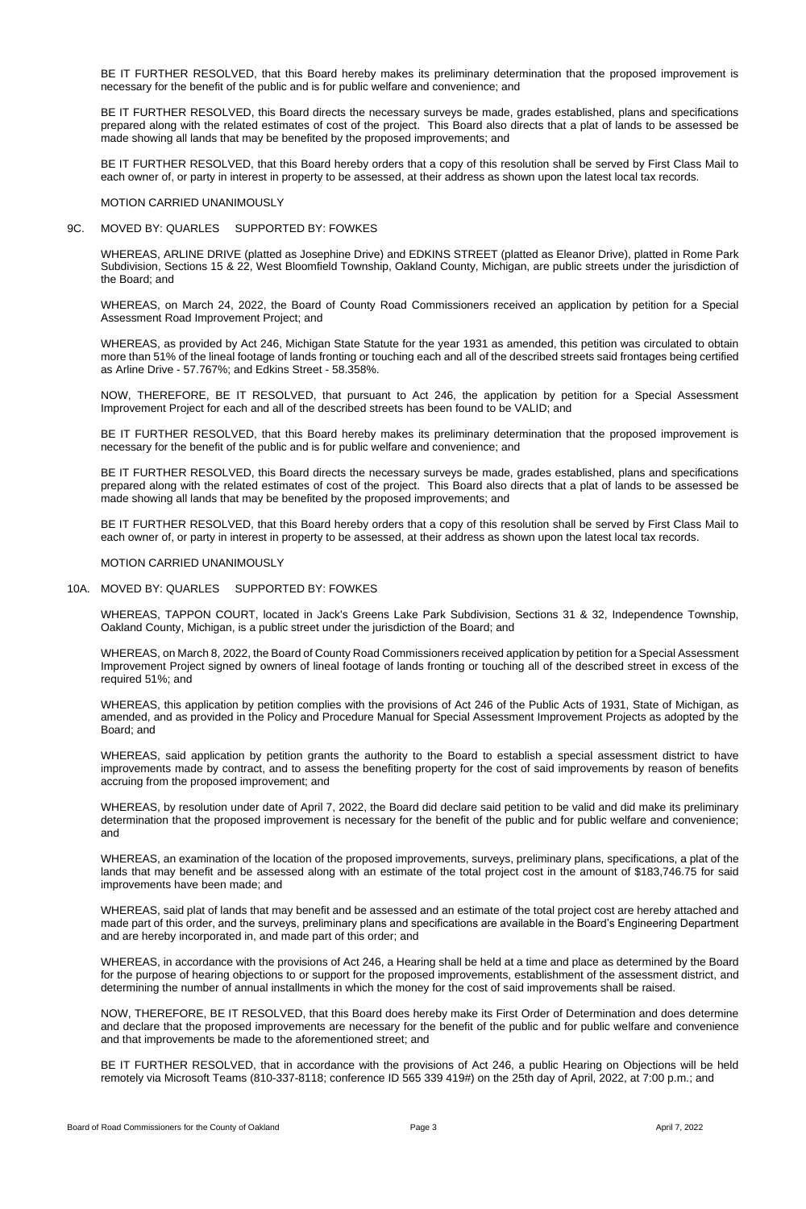BE IT FURTHER RESOLVED, that this Board hereby makes its preliminary determination that the proposed improvement is necessary for the benefit of the public and is for public welfare and convenience; and

BE IT FURTHER RESOLVED, this Board directs the necessary surveys be made, grades established, plans and specifications prepared along with the related estimates of cost of the project. This Board also directs that a plat of lands to be assessed be made showing all lands that may be benefited by the proposed improvements; and

BE IT FURTHER RESOLVED, that this Board hereby orders that a copy of this resolution shall be served by First Class Mail to each owner of, or party in interest in property to be assessed, at their address as shown upon the latest local tax records.

MOTION CARRIED UNANIMOUSLY

9C. MOVED BY: QUARLES SUPPORTED BY: FOWKES

WHEREAS, ARLINE DRIVE (platted as Josephine Drive) and EDKINS STREET (platted as Eleanor Drive), platted in Rome Park Subdivision, Sections 15 & 22, West Bloomfield Township, Oakland County, Michigan, are public streets under the jurisdiction of the Board; and

WHEREAS, on March 24, 2022, the Board of County Road Commissioners received an application by petition for a Special Assessment Road Improvement Project; and

WHEREAS, as provided by Act 246, Michigan State Statute for the year 1931 as amended, this petition was circulated to obtain more than 51% of the lineal footage of lands fronting or touching each and all of the described streets said frontages being certified as Arline Drive - 57.767%; and Edkins Street - 58.358%.

NOW, THEREFORE, BE IT RESOLVED, that pursuant to Act 246, the application by petition for a Special Assessment Improvement Project for each and all of the described streets has been found to be VALID; and

BE IT FURTHER RESOLVED, that this Board hereby makes its preliminary determination that the proposed improvement is necessary for the benefit of the public and is for public welfare and convenience; and

BE IT FURTHER RESOLVED, this Board directs the necessary surveys be made, grades established, plans and specifications prepared along with the related estimates of cost of the project. This Board also directs that a plat of lands to be assessed be made showing all lands that may be benefited by the proposed improvements; and

BE IT FURTHER RESOLVED, that this Board hereby orders that a copy of this resolution shall be served by First Class Mail to each owner of, or party in interest in property to be assessed, at their address as shown upon the latest local tax records.

#### MOTION CARRIED UNANIMOUSLY

#### 10A. MOVED BY: QUARLES SUPPORTED BY: FOWKES

WHEREAS, TAPPON COURT, located in Jack's Greens Lake Park Subdivision, Sections 31 & 32, Independence Township, Oakland County, Michigan, is a public street under the jurisdiction of the Board; and

WHEREAS, on March 8, 2022, the Board of County Road Commissioners received application by petition for a Special Assessment Improvement Project signed by owners of lineal footage of lands fronting or touching all of the described street in excess of the required 51%; and

WHEREAS, this application by petition complies with the provisions of Act 246 of the Public Acts of 1931, State of Michigan, as amended, and as provided in the Policy and Procedure Manual for Special Assessment Improvement Projects as adopted by the Board; and

WHEREAS, said application by petition grants the authority to the Board to establish a special assessment district to have improvements made by contract, and to assess the benefiting property for the cost of said improvements by reason of benefits accruing from the proposed improvement; and

WHEREAS, by resolution under date of April 7, 2022, the Board did declare said petition to be valid and did make its preliminary determination that the proposed improvement is necessary for the benefit of the public and for public welfare and convenience; and

WHEREAS, an examination of the location of the proposed improvements, surveys, preliminary plans, specifications, a plat of the lands that may benefit and be assessed along with an estimate of the total project cost in the amount of \$183,746.75 for said improvements have been made; and

WHEREAS, said plat of lands that may benefit and be assessed and an estimate of the total project cost are hereby attached and made part of this order, and the surveys, preliminary plans and specifications are available in the Board's Engineering Department and are hereby incorporated in, and made part of this order; and

WHEREAS, in accordance with the provisions of Act 246, a Hearing shall be held at a time and place as determined by the Board for the purpose of hearing objections to or support for the proposed improvements, establishment of the assessment district, and determining the number of annual installments in which the money for the cost of said improvements shall be raised.

NOW, THEREFORE, BE IT RESOLVED, that this Board does hereby make its First Order of Determination and does determine and declare that the proposed improvements are necessary for the benefit of the public and for public welfare and convenience and that improvements be made to the aforementioned street; and

BE IT FURTHER RESOLVED, that in accordance with the provisions of Act 246, a public Hearing on Objections will be held remotely via Microsoft Teams (810-337-8118; conference ID 565 339 419#) on the 25th day of April, 2022, at 7:00 p.m.; and

Board of Road Commissioners for the County of Oakland **Page 3** Page 3 April 7, 2022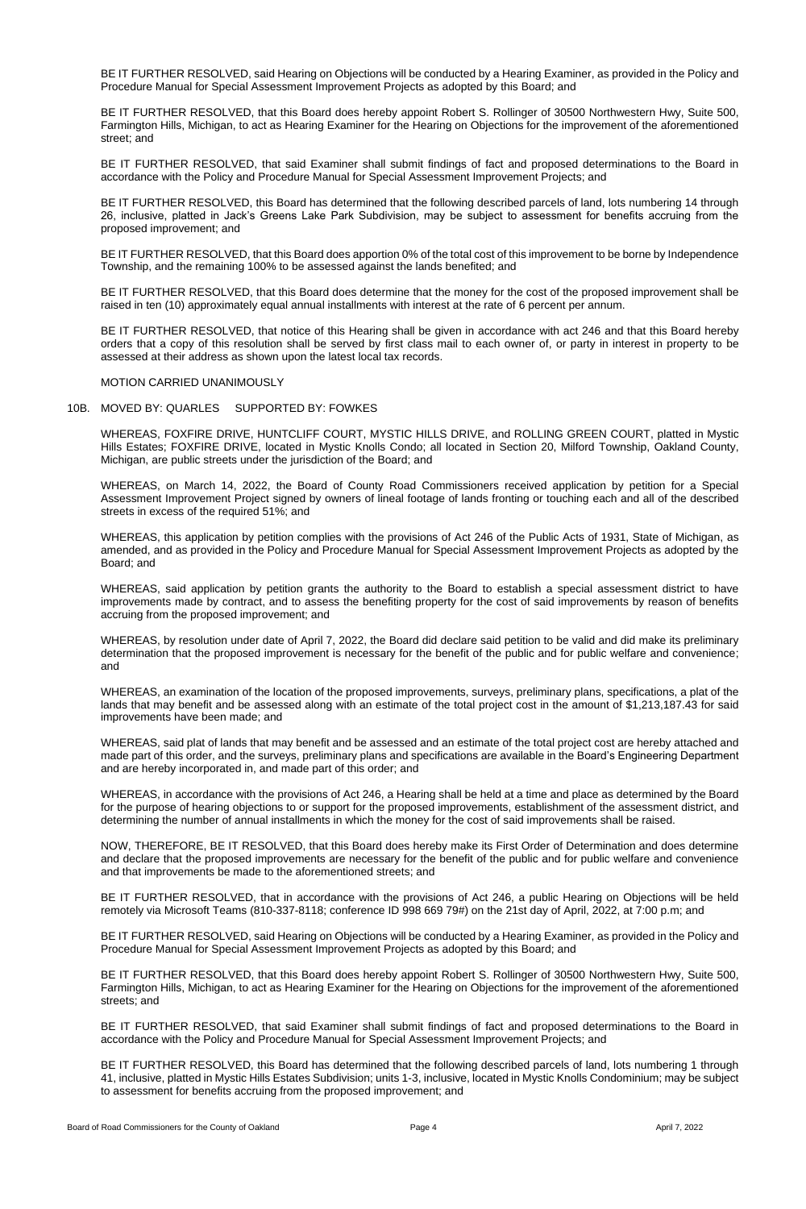BE IT FURTHER RESOLVED, said Hearing on Objections will be conducted by a Hearing Examiner, as provided in the Policy and Procedure Manual for Special Assessment Improvement Projects as adopted by this Board; and

BE IT FURTHER RESOLVED, that this Board does hereby appoint Robert S. Rollinger of 30500 Northwestern Hwy, Suite 500, Farmington Hills, Michigan, to act as Hearing Examiner for the Hearing on Objections for the improvement of the aforementioned street; and

BE IT FURTHER RESOLVED, that said Examiner shall submit findings of fact and proposed determinations to the Board in accordance with the Policy and Procedure Manual for Special Assessment Improvement Projects; and

BE IT FURTHER RESOLVED, this Board has determined that the following described parcels of land, lots numbering 14 through 26, inclusive, platted in Jack's Greens Lake Park Subdivision, may be subject to assessment for benefits accruing from the proposed improvement; and

BE IT FURTHER RESOLVED, that this Board does apportion 0% of the total cost of this improvement to be borne by Independence Township, and the remaining 100% to be assessed against the lands benefited; and

BE IT FURTHER RESOLVED, that this Board does determine that the money for the cost of the proposed improvement shall be raised in ten (10) approximately equal annual installments with interest at the rate of 6 percent per annum.

BE IT FURTHER RESOLVED, that notice of this Hearing shall be given in accordance with act 246 and that this Board hereby orders that a copy of this resolution shall be served by first class mail to each owner of, or party in interest in property to be assessed at their address as shown upon the latest local tax records.

#### MOTION CARRIED UNANIMOUSLY

### 10B. MOVED BY: QUARLES SUPPORTED BY: FOWKES

WHEREAS, FOXFIRE DRIVE, HUNTCLIFF COURT, MYSTIC HILLS DRIVE, and ROLLING GREEN COURT, platted in Mystic Hills Estates; FOXFIRE DRIVE, located in Mystic Knolls Condo; all located in Section 20, Milford Township, Oakland County, Michigan, are public streets under the jurisdiction of the Board; and

WHEREAS, on March 14, 2022, the Board of County Road Commissioners received application by petition for a Special Assessment Improvement Project signed by owners of lineal footage of lands fronting or touching each and all of the described streets in excess of the required 51%; and

WHEREAS, this application by petition complies with the provisions of Act 246 of the Public Acts of 1931, State of Michigan, as amended, and as provided in the Policy and Procedure Manual for Special Assessment Improvement Projects as adopted by the Board; and

WHEREAS, said application by petition grants the authority to the Board to establish a special assessment district to have improvements made by contract, and to assess the benefiting property for the cost of said improvements by reason of benefits accruing from the proposed improvement; and

WHEREAS, by resolution under date of April 7, 2022, the Board did declare said petition to be valid and did make its preliminary determination that the proposed improvement is necessary for the benefit of the public and for public welfare and convenience; and

WHEREAS, an examination of the location of the proposed improvements, surveys, preliminary plans, specifications, a plat of the lands that may benefit and be assessed along with an estimate of the total project cost in the amount of \$1,213,187.43 for said improvements have been made; and

WHEREAS, said plat of lands that may benefit and be assessed and an estimate of the total project cost are hereby attached and made part of this order, and the surveys, preliminary plans and specifications are available in the Board's Engineering Department and are hereby incorporated in, and made part of this order; and

WHEREAS, in accordance with the provisions of Act 246, a Hearing shall be held at a time and place as determined by the Board for the purpose of hearing objections to or support for the proposed improvements, establishment of the assessment district, and determining the number of annual installments in which the money for the cost of said improvements shall be raised.

NOW, THEREFORE, BE IT RESOLVED, that this Board does hereby make its First Order of Determination and does determine and declare that the proposed improvements are necessary for the benefit of the public and for public welfare and convenience and that improvements be made to the aforementioned streets; and

BE IT FURTHER RESOLVED, that in accordance with the provisions of Act 246, a public Hearing on Objections will be held remotely via Microsoft Teams (810-337-8118; conference ID 998 669 79#) on the 21st day of April, 2022, at 7:00 p.m; and

BE IT FURTHER RESOLVED, said Hearing on Objections will be conducted by a Hearing Examiner, as provided in the Policy and Procedure Manual for Special Assessment Improvement Projects as adopted by this Board; and

BE IT FURTHER RESOLVED, that this Board does hereby appoint Robert S. Rollinger of 30500 Northwestern Hwy, Suite 500, Farmington Hills, Michigan, to act as Hearing Examiner for the Hearing on Objections for the improvement of the aforementioned streets; and

BE IT FURTHER RESOLVED, that said Examiner shall submit findings of fact and proposed determinations to the Board in accordance with the Policy and Procedure Manual for Special Assessment Improvement Projects; and

BE IT FURTHER RESOLVED, this Board has determined that the following described parcels of land, lots numbering 1 through 41, inclusive, platted in Mystic Hills Estates Subdivision; units 1-3, inclusive, located in Mystic Knolls Condominium; may be subject to assessment for benefits accruing from the proposed improvement; and

Board of Road Commissioners for the County of Oakland **Page 4** Page 4 April 7, 2022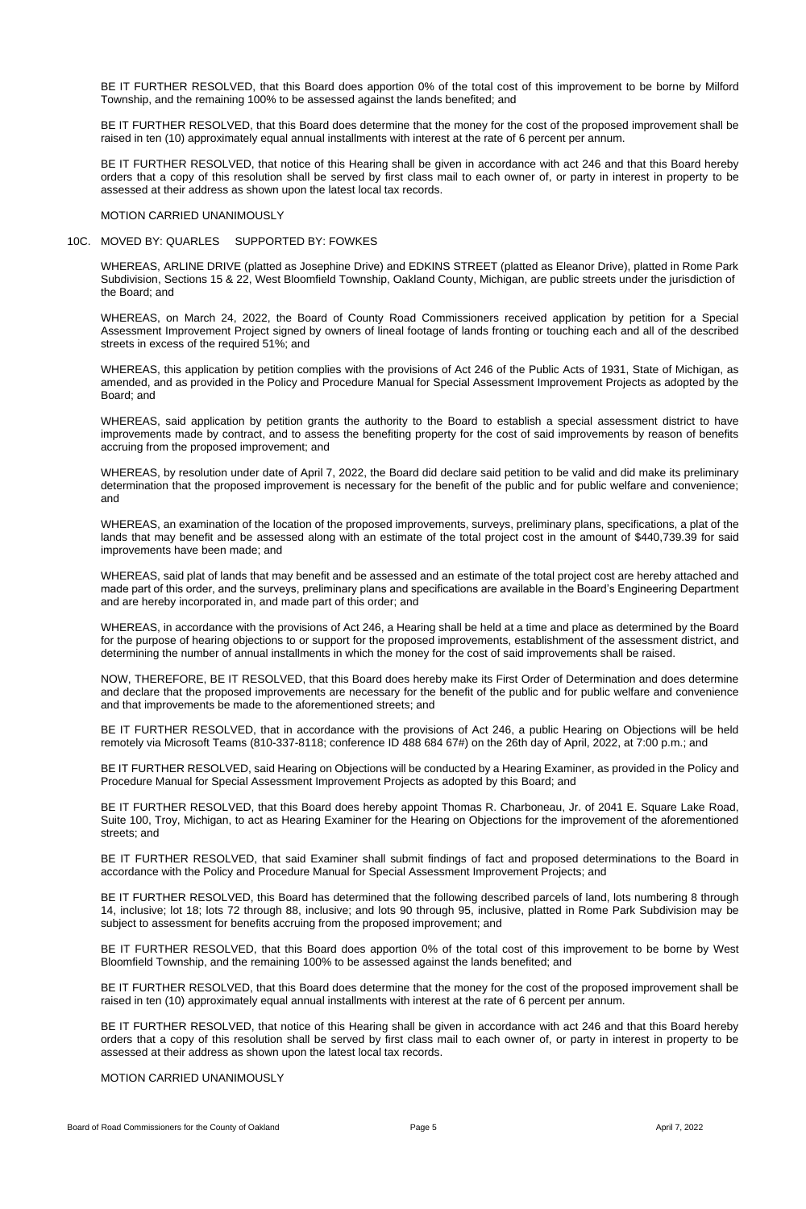BE IT FURTHER RESOLVED, that this Board does apportion 0% of the total cost of this improvement to be borne by Milford Township, and the remaining 100% to be assessed against the lands benefited; and

BE IT FURTHER RESOLVED, that this Board does determine that the money for the cost of the proposed improvement shall be raised in ten (10) approximately equal annual installments with interest at the rate of 6 percent per annum.

BE IT FURTHER RESOLVED, that notice of this Hearing shall be given in accordance with act 246 and that this Board hereby orders that a copy of this resolution shall be served by first class mail to each owner of, or party in interest in property to be assessed at their address as shown upon the latest local tax records.

MOTION CARRIED UNANIMOUSLY

#### 10C. MOVED BY: QUARLES SUPPORTED BY: FOWKES

WHEREAS, ARLINE DRIVE (platted as Josephine Drive) and EDKINS STREET (platted as Eleanor Drive), platted in Rome Park Subdivision, Sections 15 & 22, West Bloomfield Township, Oakland County, Michigan, are public streets under the jurisdiction of the Board; and

WHEREAS, on March 24, 2022, the Board of County Road Commissioners received application by petition for a Special Assessment Improvement Project signed by owners of lineal footage of lands fronting or touching each and all of the described streets in excess of the required 51%; and

WHEREAS, this application by petition complies with the provisions of Act 246 of the Public Acts of 1931, State of Michigan, as amended, and as provided in the Policy and Procedure Manual for Special Assessment Improvement Projects as adopted by the Board; and

WHEREAS, said application by petition grants the authority to the Board to establish a special assessment district to have improvements made by contract, and to assess the benefiting property for the cost of said improvements by reason of benefits accruing from the proposed improvement; and

WHEREAS, by resolution under date of April 7, 2022, the Board did declare said petition to be valid and did make its preliminary determination that the proposed improvement is necessary for the benefit of the public and for public welfare and convenience; and

WHEREAS, an examination of the location of the proposed improvements, surveys, preliminary plans, specifications, a plat of the lands that may benefit and be assessed along with an estimate of the total project cost in the amount of \$440,739.39 for said improvements have been made; and

WHEREAS, said plat of lands that may benefit and be assessed and an estimate of the total project cost are hereby attached and made part of this order, and the surveys, preliminary plans and specifications are available in the Board's Engineering Department and are hereby incorporated in, and made part of this order; and

WHEREAS, in accordance with the provisions of Act 246, a Hearing shall be held at a time and place as determined by the Board for the purpose of hearing objections to or support for the proposed improvements, establishment of the assessment district, and determining the number of annual installments in which the money for the cost of said improvements shall be raised.

NOW, THEREFORE, BE IT RESOLVED, that this Board does hereby make its First Order of Determination and does determine and declare that the proposed improvements are necessary for the benefit of the public and for public welfare and convenience and that improvements be made to the aforementioned streets; and

BE IT FURTHER RESOLVED, that in accordance with the provisions of Act 246, a public Hearing on Objections will be held remotely via Microsoft Teams (810-337-8118; conference ID 488 684 67#) on the 26th day of April, 2022, at 7:00 p.m.; and

BE IT FURTHER RESOLVED, said Hearing on Objections will be conducted by a Hearing Examiner, as provided in the Policy and Procedure Manual for Special Assessment Improvement Projects as adopted by this Board; and

BE IT FURTHER RESOLVED, that this Board does hereby appoint Thomas R. Charboneau, Jr. of 2041 E. Square Lake Road, Suite 100, Troy, Michigan, to act as Hearing Examiner for the Hearing on Objections for the improvement of the aforementioned streets; and

BE IT FURTHER RESOLVED, that said Examiner shall submit findings of fact and proposed determinations to the Board in accordance with the Policy and Procedure Manual for Special Assessment Improvement Projects; and

BE IT FURTHER RESOLVED, this Board has determined that the following described parcels of land, lots numbering 8 through 14, inclusive; lot 18; lots 72 through 88, inclusive; and lots 90 through 95, inclusive, platted in Rome Park Subdivision may be subject to assessment for benefits accruing from the proposed improvement; and

BE IT FURTHER RESOLVED, that this Board does apportion 0% of the total cost of this improvement to be borne by West Bloomfield Township, and the remaining 100% to be assessed against the lands benefited; and

BE IT FURTHER RESOLVED, that this Board does determine that the money for the cost of the proposed improvement shall be raised in ten (10) approximately equal annual installments with interest at the rate of 6 percent per annum.

BE IT FURTHER RESOLVED, that notice of this Hearing shall be given in accordance with act 246 and that this Board hereby orders that a copy of this resolution shall be served by first class mail to each owner of, or party in interest in property to be assessed at their address as shown upon the latest local tax records.

# MOTION CARRIED UNANIMOUSLY

Board of Road Commissioners for the County of Oakland **Page 5** Page 5 April 7, 2022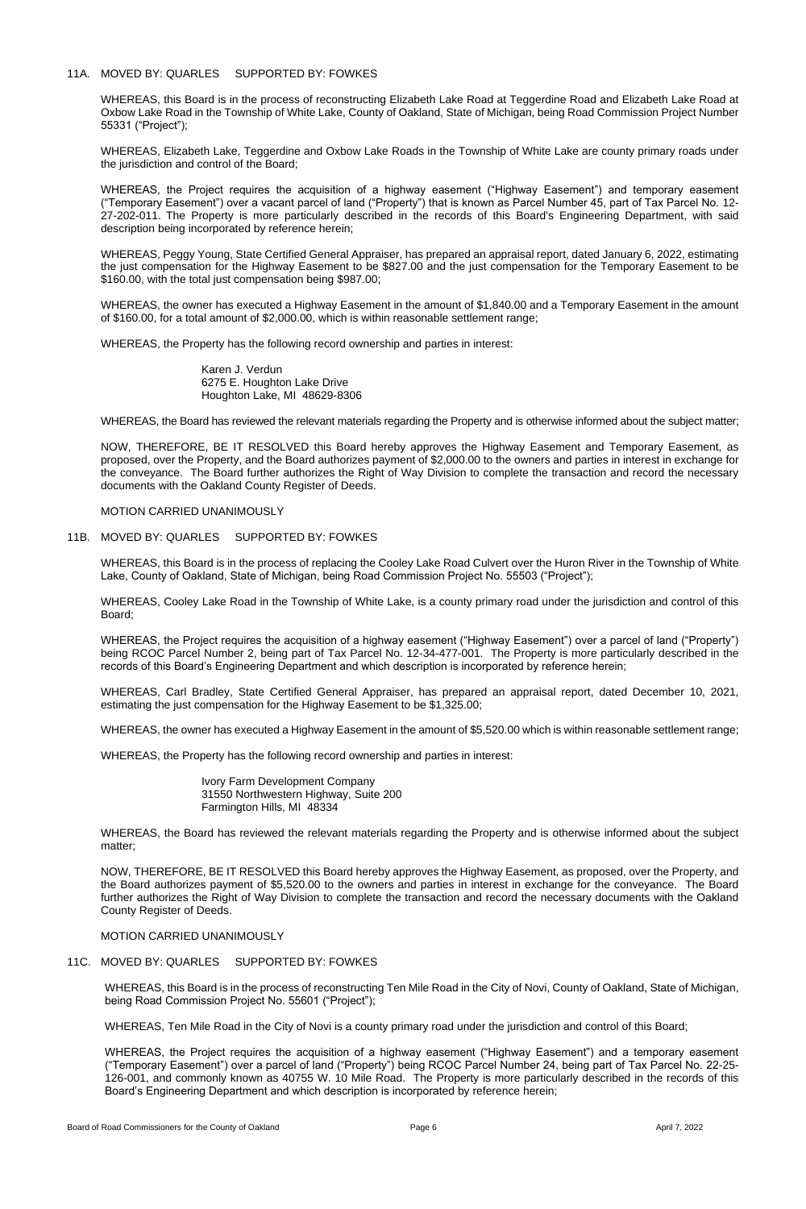## 11A. MOVED BY: QUARLES SUPPORTED BY: FOWKES

WHEREAS, this Board is in the process of reconstructing Elizabeth Lake Road at Teggerdine Road and Elizabeth Lake Road at Oxbow Lake Road in the Township of White Lake, County of Oakland, State of Michigan, being Road Commission Project Number 55331 ("Project");

WHEREAS, Elizabeth Lake, Teggerdine and Oxbow Lake Roads in the Township of White Lake are county primary roads under the jurisdiction and control of the Board;

WHEREAS, the Project requires the acquisition of a highway easement ("Highway Easement") and temporary easement ("Temporary Easement") over a vacant parcel of land ("Property") that is known as Parcel Number 45, part of Tax Parcel No. 12- 27-202-011. The Property is more particularly described in the records of this Board's Engineering Department, with said description being incorporated by reference herein;

WHEREAS, Peggy Young, State Certified General Appraiser, has prepared an appraisal report, dated January 6, 2022, estimating the just compensation for the Highway Easement to be \$827.00 and the just compensation for the Temporary Easement to be \$160.00, with the total just compensation being \$987.00;

WHEREAS, this Board is in the process of replacing the Cooley Lake Road Culvert over the Huron River in the Township of White Lake, County of Oakland, State of Michigan, being Road Commission Project No. 55503 ("Project");

WHEREAS, the owner has executed a Highway Easement in the amount of \$1,840.00 and a Temporary Easement in the amount of \$160.00, for a total amount of \$2,000.00, which is within reasonable settlement range;

WHEREAS, the Property has the following record ownership and parties in interest:

Karen J. Verdun 6275 E. Houghton Lake Drive Houghton Lake, MI 48629-8306

WHEREAS, the Board has reviewed the relevant materials regarding the Property and is otherwise informed about the subject matter;

NOW, THEREFORE, BE IT RESOLVED this Board hereby approves the Highway Easement and Temporary Easement, as proposed, over the Property, and the Board authorizes payment of \$2,000.00 to the owners and parties in interest in exchange for the conveyance. The Board further authorizes the Right of Way Division to complete the transaction and record the necessary documents with the Oakland County Register of Deeds.

MOTION CARRIED UNANIMOUSLY

## 11B. MOVED BY: QUARLES SUPPORTED BY: FOWKES

WHEREAS, Cooley Lake Road in the Township of White Lake, is a county primary road under the jurisdiction and control of this Board;

WHEREAS, the Project requires the acquisition of a highway easement ("Highway Easement") over a parcel of land ("Property") being RCOC Parcel Number 2, being part of Tax Parcel No. 12-34-477-001. The Property is more particularly described in the records of this Board's Engineering Department and which description is incorporated by reference herein;

WHEREAS, Carl Bradley, State Certified General Appraiser, has prepared an appraisal report, dated December 10, 2021, estimating the just compensation for the Highway Easement to be \$1,325.00;

WHEREAS, the owner has executed a Highway Easement in the amount of \$5,520.00 which is within reasonable settlement range;

WHEREAS, the Property has the following record ownership and parties in interest:

Ivory Farm Development Company 31550 Northwestern Highway, Suite 200 Farmington Hills, MI 48334

WHEREAS, the Board has reviewed the relevant materials regarding the Property and is otherwise informed about the subject

matter;

NOW, THEREFORE, BE IT RESOLVED this Board hereby approves the Highway Easement, as proposed, over the Property, and the Board authorizes payment of \$5,520.00 to the owners and parties in interest in exchange for the conveyance. The Board further authorizes the Right of Way Division to complete the transaction and record the necessary documents with the Oakland County Register of Deeds.

MOTION CARRIED UNANIMOUSLY

# 11C. MOVED BY: QUARLES SUPPORTED BY: FOWKES

WHEREAS, this Board is in the process of reconstructing Ten Mile Road in the City of Novi, County of Oakland, State of Michigan, being Road Commission Project No. 55601 ("Project");

WHEREAS, Ten Mile Road in the City of Novi is a county primary road under the jurisdiction and control of this Board;

WHEREAS, the Project requires the acquisition of a highway easement ("Highway Easement") and a temporary easement ("Temporary Easement") over a parcel of land ("Property") being RCOC Parcel Number 24, being part of Tax Parcel No. 22-25- 126-001, and commonly known as 40755 W. 10 Mile Road. The Property is more particularly described in the records of this Board's Engineering Department and which description is incorporated by reference herein;

Board of Road Commissioners for the County of Oakland **Page 6 Page 6** April 7, 2022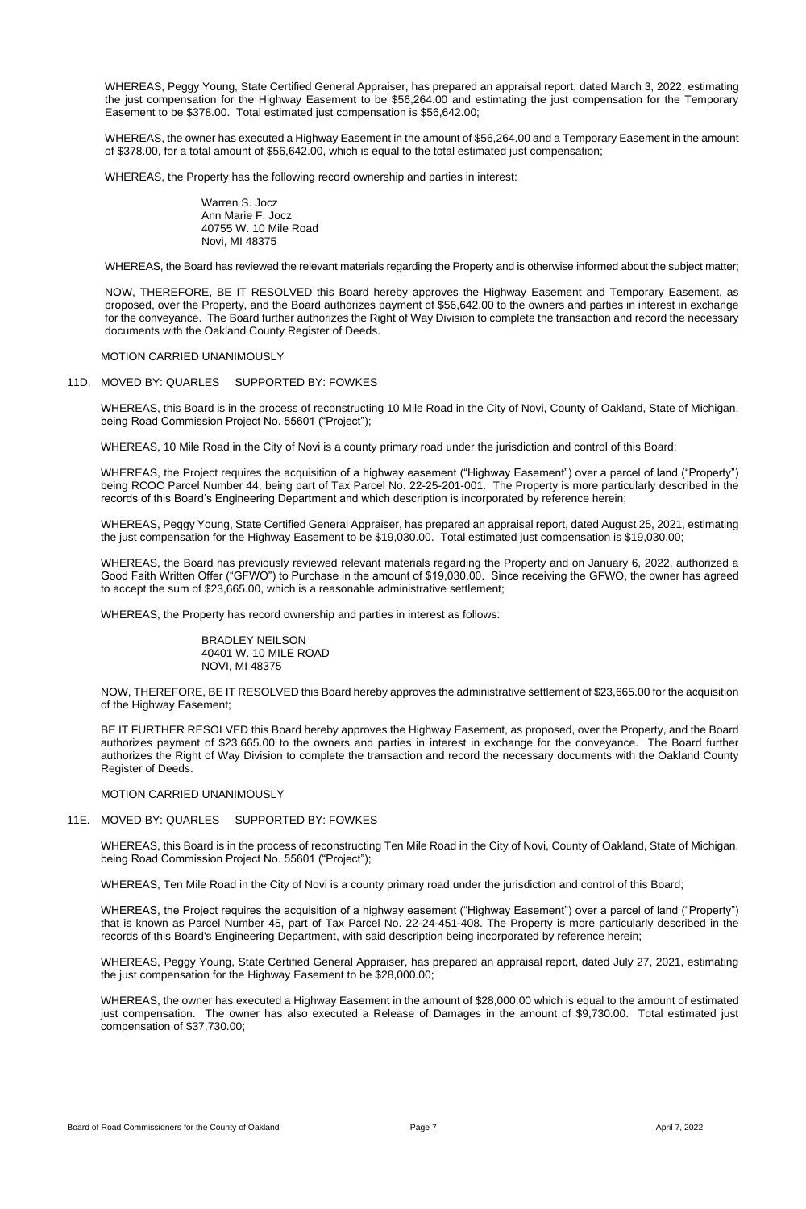WHEREAS, Peggy Young, State Certified General Appraiser, has prepared an appraisal report, dated March 3, 2022, estimating the just compensation for the Highway Easement to be \$56,264.00 and estimating the just compensation for the Temporary Easement to be \$378.00. Total estimated just compensation is \$56,642.00;

WHEREAS, the owner has executed a Highway Easement in the amount of \$56,264.00 and a Temporary Easement in the amount of \$378.00, for a total amount of \$56,642.00, which is equal to the total estimated just compensation;

WHEREAS, the Property has the following record ownership and parties in interest:

Warren S. Jocz Ann Marie F. Jocz 40755 W. 10 Mile Road Novi, MI 48375

WHEREAS, the Board has reviewed the relevant materials regarding the Property and is otherwise informed about the subject matter;

NOW, THEREFORE, BE IT RESOLVED this Board hereby approves the Highway Easement and Temporary Easement, as proposed, over the Property, and the Board authorizes payment of \$56,642.00 to the owners and parties in interest in exchange for the conveyance. The Board further authorizes the Right of Way Division to complete the transaction and record the necessary documents with the Oakland County Register of Deeds.

MOTION CARRIED UNANIMOUSLY

#### 11D. MOVED BY: QUARLES SUPPORTED BY: FOWKES

WHEREAS, this Board is in the process of reconstructing 10 Mile Road in the City of Novi, County of Oakland, State of Michigan, being Road Commission Project No. 55601 ("Project");

WHEREAS, 10 Mile Road in the City of Novi is a county primary road under the jurisdiction and control of this Board;

WHEREAS, the Project requires the acquisition of a highway easement ("Highway Easement") over a parcel of land ("Property") being RCOC Parcel Number 44, being part of Tax Parcel No. 22-25-201-001. The Property is more particularly described in the records of this Board's Engineering Department and which description is incorporated by reference herein;

WHEREAS, Peggy Young, State Certified General Appraiser, has prepared an appraisal report, dated August 25, 2021, estimating the just compensation for the Highway Easement to be \$19,030.00. Total estimated just compensation is \$19,030.00;

WHEREAS, the Board has previously reviewed relevant materials regarding the Property and on January 6, 2022, authorized a Good Faith Written Offer ("GFWO") to Purchase in the amount of \$19,030.00. Since receiving the GFWO, the owner has agreed to accept the sum of \$23,665.00, which is a reasonable administrative settlement;

WHEREAS, the Property has record ownership and parties in interest as follows:

BRADLEY NEILSON 40401 W. 10 MILE ROAD NOVI, MI 48375

NOW, THEREFORE, BE IT RESOLVED this Board hereby approves the administrative settlement of \$23,665.00 for the acquisition of the Highway Easement;

BE IT FURTHER RESOLVED this Board hereby approves the Highway Easement, as proposed, over the Property, and the Board authorizes payment of \$23,665.00 to the owners and parties in interest in exchange for the conveyance. The Board further authorizes the Right of Way Division to complete the transaction and record the necessary documents with the Oakland County Register of Deeds.

MOTION CARRIED UNANIMOUSLY

WHEREAS, this Board is in the process of reconstructing Ten Mile Road in the City of Novi, County of Oakland, State of Michigan, being Road Commission Project No. 55601 ("Project");

WHEREAS, Ten Mile Road in the City of Novi is a county primary road under the jurisdiction and control of this Board;

WHEREAS, the Project requires the acquisition of a highway easement ("Highway Easement") over a parcel of land ("Property") that is known as Parcel Number 45, part of Tax Parcel No. 22-24-451-408. The Property is more particularly described in the records of this Board's Engineering Department, with said description being incorporated by reference herein;

WHEREAS, Peggy Young, State Certified General Appraiser, has prepared an appraisal report, dated July 27, 2021, estimating the just compensation for the Highway Easement to be \$28,000.00;

WHEREAS, the owner has executed a Highway Easement in the amount of \$28,000.00 which is equal to the amount of estimated just compensation. The owner has also executed a Release of Damages in the amount of \$9,730.00. Total estimated just compensation of \$37,730.00;

Board of Road Commissioners for the County of Oakland **Page 7** Page 7 April 7, 2022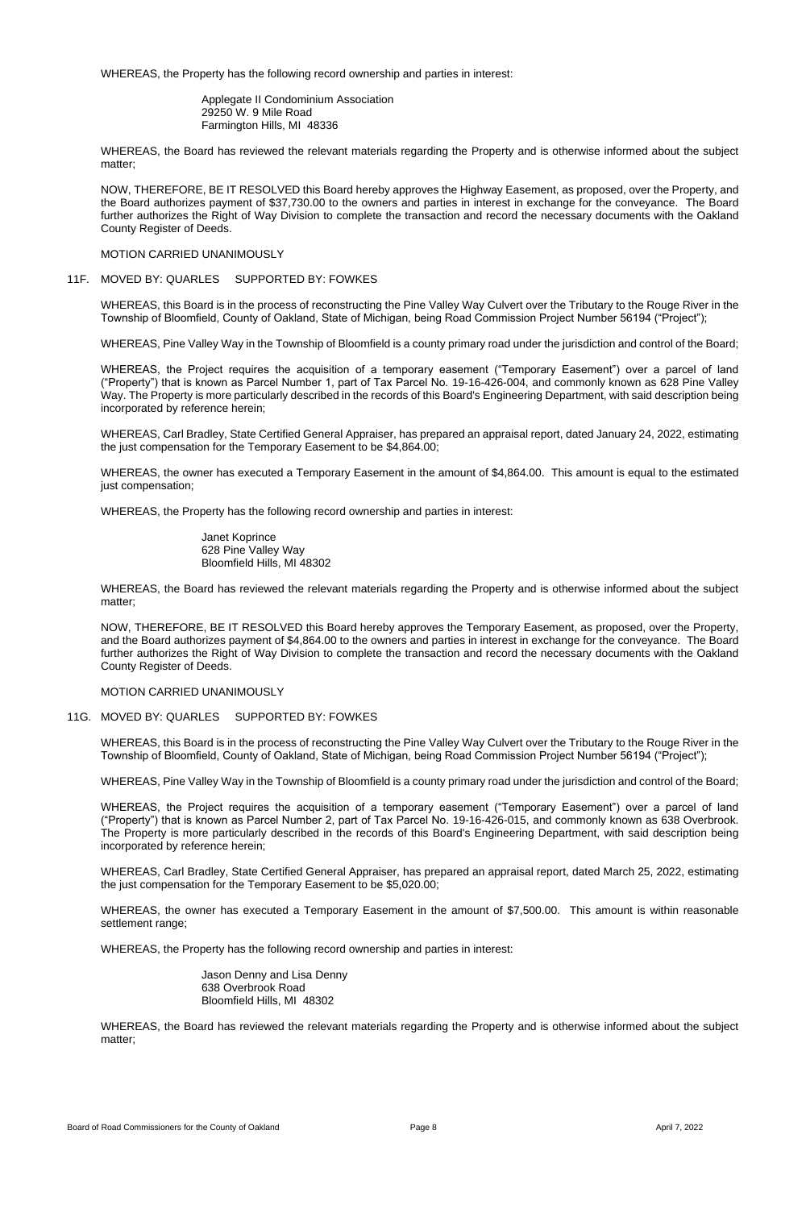WHEREAS, the Property has the following record ownership and parties in interest:

Applegate II Condominium Association 29250 W. 9 Mile Road Farmington Hills, MI 48336

WHEREAS, the Board has reviewed the relevant materials regarding the Property and is otherwise informed about the subject matter;

NOW, THEREFORE, BE IT RESOLVED this Board hereby approves the Highway Easement, as proposed, over the Property, and the Board authorizes payment of \$37,730.00 to the owners and parties in interest in exchange for the conveyance. The Board further authorizes the Right of Way Division to complete the transaction and record the necessary documents with the Oakland County Register of Deeds.

## MOTION CARRIED UNANIMOUSLY

## 11F. MOVED BY: QUARLES SUPPORTED BY: FOWKES

WHEREAS, this Board is in the process of reconstructing the Pine Valley Way Culvert over the Tributary to the Rouge River in the Township of Bloomfield, County of Oakland, State of Michigan, being Road Commission Project Number 56194 ("Project");

WHEREAS, Pine Valley Way in the Township of Bloomfield is a county primary road under the jurisdiction and control of the Board;

WHEREAS, the Project requires the acquisition of a temporary easement ("Temporary Easement") over a parcel of land ("Property") that is known as Parcel Number 1, part of Tax Parcel No. 19-16-426-004, and commonly known as 628 Pine Valley Way. The Property is more particularly described in the records of this Board's Engineering Department, with said description being incorporated by reference herein;

WHEREAS, Carl Bradley, State Certified General Appraiser, has prepared an appraisal report, dated January 24, 2022, estimating the just compensation for the Temporary Easement to be \$4,864.00;

WHEREAS, the owner has executed a Temporary Easement in the amount of \$4,864.00. This amount is equal to the estimated just compensation;

WHEREAS, the owner has executed a Temporary Easement in the amount of \$7,500.00. This amount is within reasonable settlement range;

WHEREAS, the Property has the following record ownership and parties in interest:

Janet Koprince 628 Pine Valley Way Bloomfield Hills, MI 48302

WHEREAS, the Board has reviewed the relevant materials regarding the Property and is otherwise informed about the subject matter;

NOW, THEREFORE, BE IT RESOLVED this Board hereby approves the Temporary Easement, as proposed, over the Property, and the Board authorizes payment of \$4,864.00 to the owners and parties in interest in exchange for the conveyance. The Board further authorizes the Right of Way Division to complete the transaction and record the necessary documents with the Oakland County Register of Deeds.

MOTION CARRIED UNANIMOUSLY

## 11G. MOVED BY: QUARLES SUPPORTED BY: FOWKES

WHEREAS, this Board is in the process of reconstructing the Pine Valley Way Culvert over the Tributary to the Rouge River in the Township of Bloomfield, County of Oakland, State of Michigan, being Road Commission Project Number 56194 ("Project");

WHEREAS, Pine Valley Way in the Township of Bloomfield is a county primary road under the jurisdiction and control of the Board;

WHEREAS, the Project requires the acquisition of a temporary easement ("Temporary Easement") over a parcel of land ("Property") that is known as Parcel Number 2, part of Tax Parcel No. 19-16-426-015, and commonly known as 638 Overbrook. The Property is more particularly described in the records of this Board's Engineering Department, with said description being

incorporated by reference herein;

WHEREAS, Carl Bradley, State Certified General Appraiser, has prepared an appraisal report, dated March 25, 2022, estimating the just compensation for the Temporary Easement to be \$5,020.00;

WHEREAS, the Property has the following record ownership and parties in interest:

Jason Denny and Lisa Denny 638 Overbrook Road Bloomfield Hills, MI 48302

WHEREAS, the Board has reviewed the relevant materials regarding the Property and is otherwise informed about the subject matter;

Board of Road Commissioners for the County of Oakland **Page 8** April 7, 2022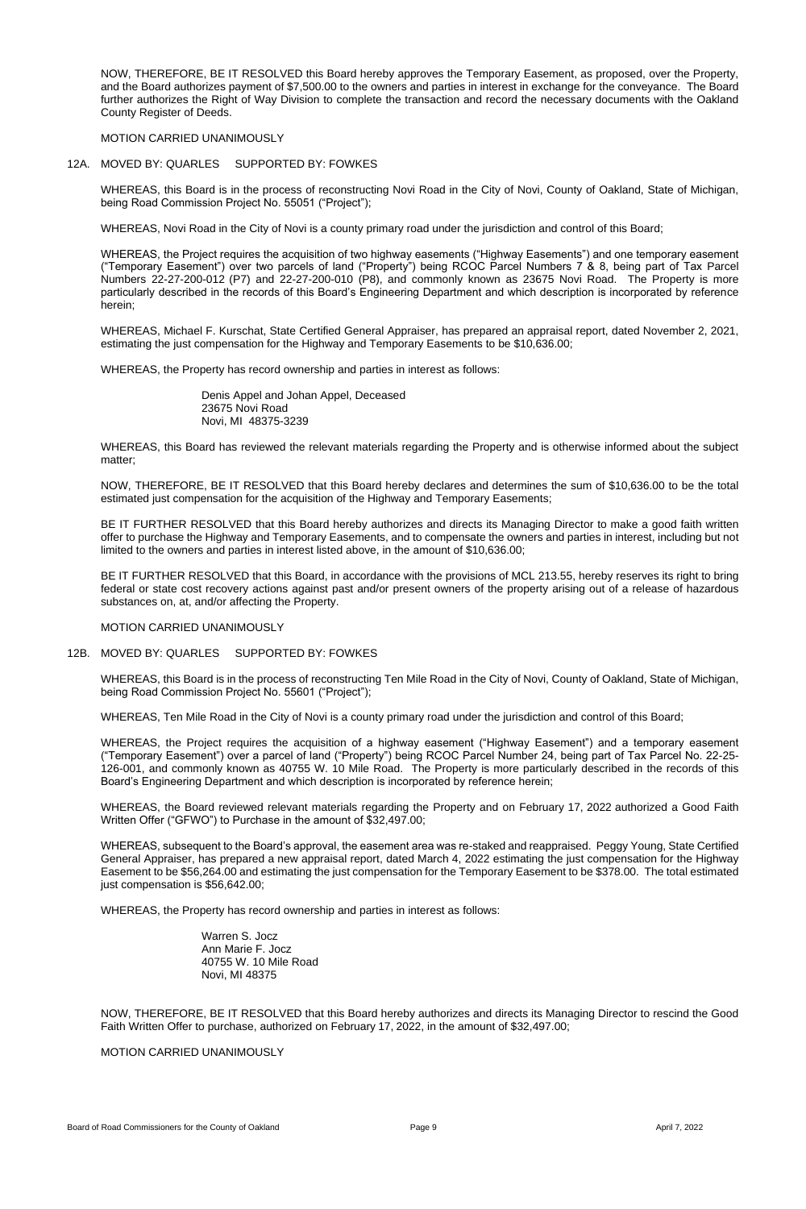NOW, THEREFORE, BE IT RESOLVED this Board hereby approves the Temporary Easement, as proposed, over the Property, and the Board authorizes payment of \$7,500.00 to the owners and parties in interest in exchange for the conveyance. The Board further authorizes the Right of Way Division to complete the transaction and record the necessary documents with the Oakland County Register of Deeds.

MOTION CARRIED UNANIMOUSLY

## 12A. MOVED BY: QUARLES SUPPORTED BY: FOWKES

WHEREAS, this Board is in the process of reconstructing Novi Road in the City of Novi, County of Oakland, State of Michigan, being Road Commission Project No. 55051 ("Project");

WHEREAS, Novi Road in the City of Novi is a county primary road under the jurisdiction and control of this Board;

WHEREAS, the Project requires the acquisition of two highway easements ("Highway Easements") and one temporary easement ("Temporary Easement") over two parcels of land ("Property") being RCOC Parcel Numbers 7 & 8, being part of Tax Parcel Numbers 22-27-200-012 (P7) and 22-27-200-010 (P8), and commonly known as 23675 Novi Road. The Property is more particularly described in the records of this Board's Engineering Department and which description is incorporated by reference herein;

WHEREAS, Michael F. Kurschat, State Certified General Appraiser, has prepared an appraisal report, dated November 2, 2021, estimating the just compensation for the Highway and Temporary Easements to be \$10,636.00;

WHEREAS, the Property has record ownership and parties in interest as follows:

Denis Appel and Johan Appel, Deceased 23675 Novi Road Novi, MI 48375-3239

WHEREAS, this Board has reviewed the relevant materials regarding the Property and is otherwise informed about the subject matter;

NOW, THEREFORE, BE IT RESOLVED that this Board hereby declares and determines the sum of \$10,636.00 to be the total estimated just compensation for the acquisition of the Highway and Temporary Easements;

BE IT FURTHER RESOLVED that this Board hereby authorizes and directs its Managing Director to make a good faith written offer to purchase the Highway and Temporary Easements, and to compensate the owners and parties in interest, including but not limited to the owners and parties in interest listed above, in the amount of \$10,636.00;

BE IT FURTHER RESOLVED that this Board, in accordance with the provisions of MCL 213.55, hereby reserves its right to bring federal or state cost recovery actions against past and/or present owners of the property arising out of a release of hazardous substances on, at, and/or affecting the Property.

MOTION CARRIED UNANIMOUSLY

## 12B. MOVED BY: QUARLES SUPPORTED BY: FOWKES

WHEREAS, this Board is in the process of reconstructing Ten Mile Road in the City of Novi, County of Oakland, State of Michigan, being Road Commission Project No. 55601 ("Project");

WHEREAS, Ten Mile Road in the City of Novi is a county primary road under the jurisdiction and control of this Board;

WHEREAS, the Project requires the acquisition of a highway easement ("Highway Easement") and a temporary easement ("Temporary Easement") over a parcel of land ("Property") being RCOC Parcel Number 24, being part of Tax Parcel No. 22-25- 126-001, and commonly known as 40755 W. 10 Mile Road. The Property is more particularly described in the records of this Board's Engineering Department and which description is incorporated by reference herein;

WHEREAS, the Board reviewed relevant materials regarding the Property and on February 17, 2022 authorized a Good Faith Written Offer ("GFWO") to Purchase in the amount of \$32,497.00;

WHEREAS, subsequent to the Board's approval, the easement area was re-staked and reappraised. Peggy Young, State Certified General Appraiser, has prepared a new appraisal report, dated March 4, 2022 estimating the just compensation for the Highway Easement to be \$56,264.00 and estimating the just compensation for the Temporary Easement to be \$378.00. The total estimated just compensation is \$56,642.00;

WHEREAS, the Property has record ownership and parties in interest as follows:

Warren S. Jocz Ann Marie F. Jocz 40755 W. 10 Mile Road Novi, MI 48375

NOW, THEREFORE, BE IT RESOLVED that this Board hereby authorizes and directs its Managing Director to rescind the Good Faith Written Offer to purchase, authorized on February 17, 2022, in the amount of \$32,497.00;

MOTION CARRIED UNANIMOUSLY

Board of Road Commissioners for the County of Oakland **Page 9** Page 9 April 7, 2022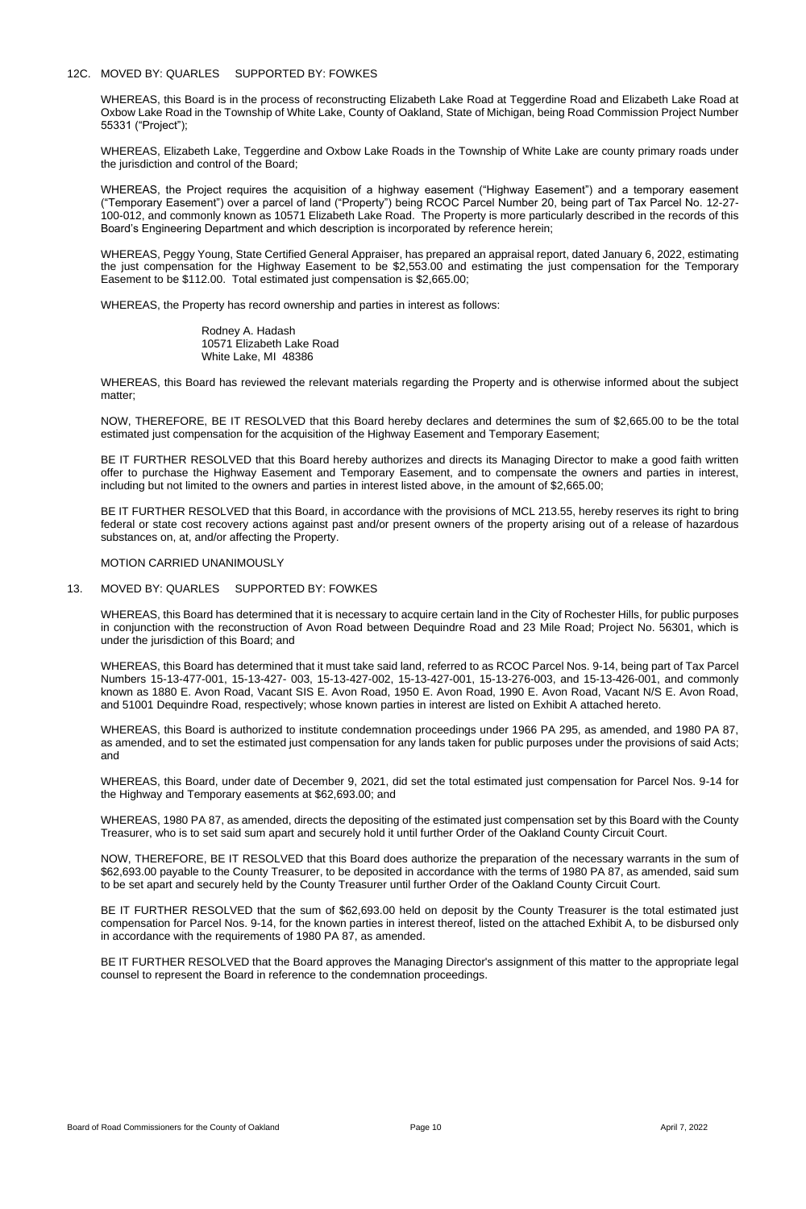## 12C. MOVED BY: QUARLES SUPPORTED BY: FOWKES

WHEREAS, this Board is in the process of reconstructing Elizabeth Lake Road at Teggerdine Road and Elizabeth Lake Road at Oxbow Lake Road in the Township of White Lake, County of Oakland, State of Michigan, being Road Commission Project Number 55331 ("Project");

WHEREAS, Elizabeth Lake, Teggerdine and Oxbow Lake Roads in the Township of White Lake are county primary roads under the jurisdiction and control of the Board;

WHEREAS, the Project requires the acquisition of a highway easement ("Highway Easement") and a temporary easement ("Temporary Easement") over a parcel of land ("Property") being RCOC Parcel Number 20, being part of Tax Parcel No. 12-27- 100-012, and commonly known as 10571 Elizabeth Lake Road. The Property is more particularly described in the records of this Board's Engineering Department and which description is incorporated by reference herein;

WHEREAS, Peggy Young, State Certified General Appraiser, has prepared an appraisal report, dated January 6, 2022, estimating the just compensation for the Highway Easement to be \$2,553.00 and estimating the just compensation for the Temporary Easement to be \$112.00. Total estimated just compensation is \$2,665.00;

WHEREAS, the Property has record ownership and parties in interest as follows:

Rodney A. Hadash 10571 Elizabeth Lake Road White Lake, MI 48386

WHEREAS, this Board has reviewed the relevant materials regarding the Property and is otherwise informed about the subject matter;

NOW, THEREFORE, BE IT RESOLVED that this Board hereby declares and determines the sum of \$2,665.00 to be the total estimated just compensation for the acquisition of the Highway Easement and Temporary Easement;

BE IT FURTHER RESOLVED that this Board hereby authorizes and directs its Managing Director to make a good faith written offer to purchase the Highway Easement and Temporary Easement, and to compensate the owners and parties in interest, including but not limited to the owners and parties in interest listed above, in the amount of \$2,665.00;

BE IT FURTHER RESOLVED that this Board, in accordance with the provisions of MCL 213.55, hereby reserves its right to bring federal or state cost recovery actions against past and/or present owners of the property arising out of a release of hazardous substances on, at, and/or affecting the Property.

## MOTION CARRIED UNANIMOUSLY

## 13. MOVED BY: QUARLES SUPPORTED BY: FOWKES

WHEREAS, this Board has determined that it is necessary to acquire certain land in the City of Rochester Hills, for public purposes in conjunction with the reconstruction of Avon Road between Dequindre Road and 23 Mile Road; Project No. 56301, which is under the jurisdiction of this Board; and

WHEREAS, this Board has determined that it must take said land, referred to as RCOC Parcel Nos. 9-14, being part of Tax Parcel Numbers 15-13-477-001, 15-13-427- 003, 15-13-427-002, 15-13-427-001, 15-13-276-003, and 15-13-426-001, and commonly known as 1880 E. Avon Road, Vacant SIS E. Avon Road, 1950 E. Avon Road, 1990 E. Avon Road, Vacant N/S E. Avon Road, and 51001 Dequindre Road, respectively; whose known parties in interest are listed on Exhibit A attached hereto.

WHEREAS, this Board is authorized to institute condemnation proceedings under 1966 PA 295, as amended, and 1980 PA 87, as amended, and to set the estimated just compensation for any lands taken for public purposes under the provisions of said Acts; and

WHEREAS, this Board, under date of December 9, 2021, did set the total estimated just compensation for Parcel Nos. 9-14 for the Highway and Temporary easements at \$62,693.00; and

WHEREAS, 1980 PA 87, as amended, directs the depositing of the estimated just compensation set by this Board with the County Treasurer, who is to set said sum apart and securely hold it until further Order of the Oakland County Circuit Court.

NOW, THEREFORE, BE IT RESOLVED that this Board does authorize the preparation of the necessary warrants in the sum of \$62,693.00 payable to the County Treasurer, to be deposited in accordance with the terms of 1980 PA 87, as amended, said sum to be set apart and securely held by the County Treasurer until further Order of the Oakland County Circuit Court.

BE IT FURTHER RESOLVED that the sum of \$62,693.00 held on deposit by the County Treasurer is the total estimated just compensation for Parcel Nos. 9-14, for the known parties in interest thereof, listed on the attached Exhibit A, to be disbursed only in accordance with the requirements of 1980 PA 87, as amended.

BE IT FURTHER RESOLVED that the Board approves the Managing Director's assignment of this matter to the appropriate legal counsel to represent the Board in reference to the condemnation proceedings.

Board of Road Commissioners for the County of Oakland **Page 10 Page 10 Page 10** April 7, 2022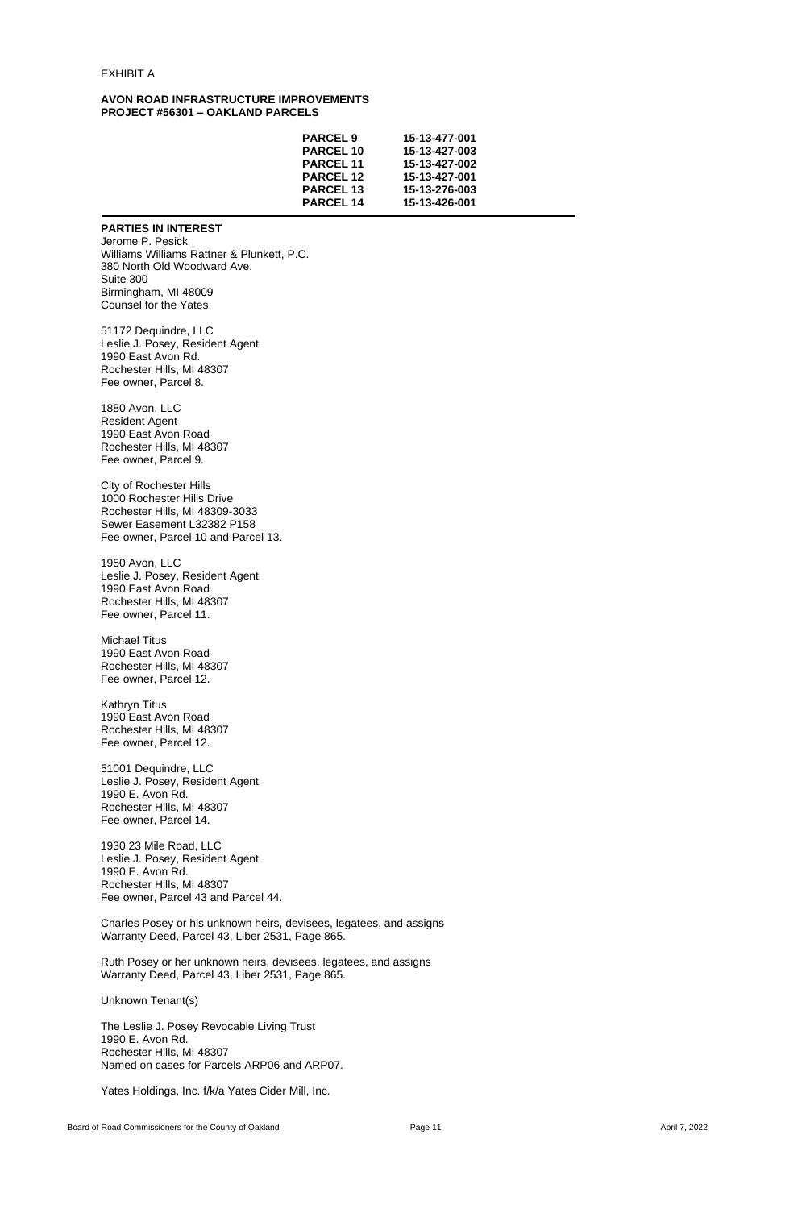### EXHIBIT A

### **AVON ROAD INFRASTRUCTURE IMPROVEMENTS PROJECT #56301 – OAKLAND PARCELS**

| <b>PARCEL 9</b>  | 15-13-477-001 |
|------------------|---------------|
| <b>PARCEL 10</b> | 15-13-427-003 |
| <b>PARCEL 11</b> | 15-13-427-002 |
| <b>PARCEL 12</b> | 15-13-427-001 |
| <b>PARCEL 13</b> | 15-13-276-003 |
| <b>PARCEL 14</b> | 15-13-426-001 |

## **PARTIES IN INTEREST**

Jerome P. Pesick Williams Williams Rattner & Plunkett, P.C. 380 North Old Woodward Ave. Suite 300 Birmingham, MI 48009 Counsel for the Yates

51172 Dequindre, LLC Leslie J. Posey, Resident Agent 1990 East Avon Rd. Rochester Hills, MI 48307 Fee owner, Parcel 8.

1880 Avon, LLC Resident Agent 1990 East Avon Road Rochester Hills, MI 48307 Fee owner, Parcel 9.

City of Rochester Hills 1000 Rochester Hills Drive Rochester Hills, MI 48309-3033 Sewer Easement L32382 P158 Fee owner, Parcel 10 and Parcel 13.

1950 Avon, LLC Leslie J. Posey, Resident Agent 1990 East Avon Road Rochester Hills, MI 48307 Fee owner, Parcel 11.

Michael Titus 1990 East Avon Road Rochester Hills, MI 48307 Fee owner, Parcel 12.

Kathryn Titus 1990 East Avon Road Rochester Hills, MI 48307 Fee owner, Parcel 12.

51001 Dequindre, LLC Leslie J. Posey, Resident Agent 1990 E. Avon Rd. Rochester Hills, MI 48307 Fee owner, Parcel 14.

1930 23 Mile Road, LLC Leslie J. Posey, Resident Agent 1990 E. Avon Rd. Rochester Hills, MI 48307 Fee owner, Parcel 43 and Parcel 44.

Charles Posey or his unknown heirs, devisees, legatees, and assigns Warranty Deed, Parcel 43, Liber 2531, Page 865.

Ruth Posey or her unknown heirs, devisees, legatees, and assigns Warranty Deed, Parcel 43, Liber 2531, Page 865.

Unknown Tenant(s)

The Leslie J. Posey Revocable Living Trust 1990 E. Avon Rd. Rochester Hills, MI 48307 Named on cases for Parcels ARP06 and ARP07.

Yates Holdings, Inc. f/k/a Yates Cider Mill, Inc.

Board of Road Commissioners for the County of Oakland **Page 11** Page 11 **April 7, 2022** April 7, 2022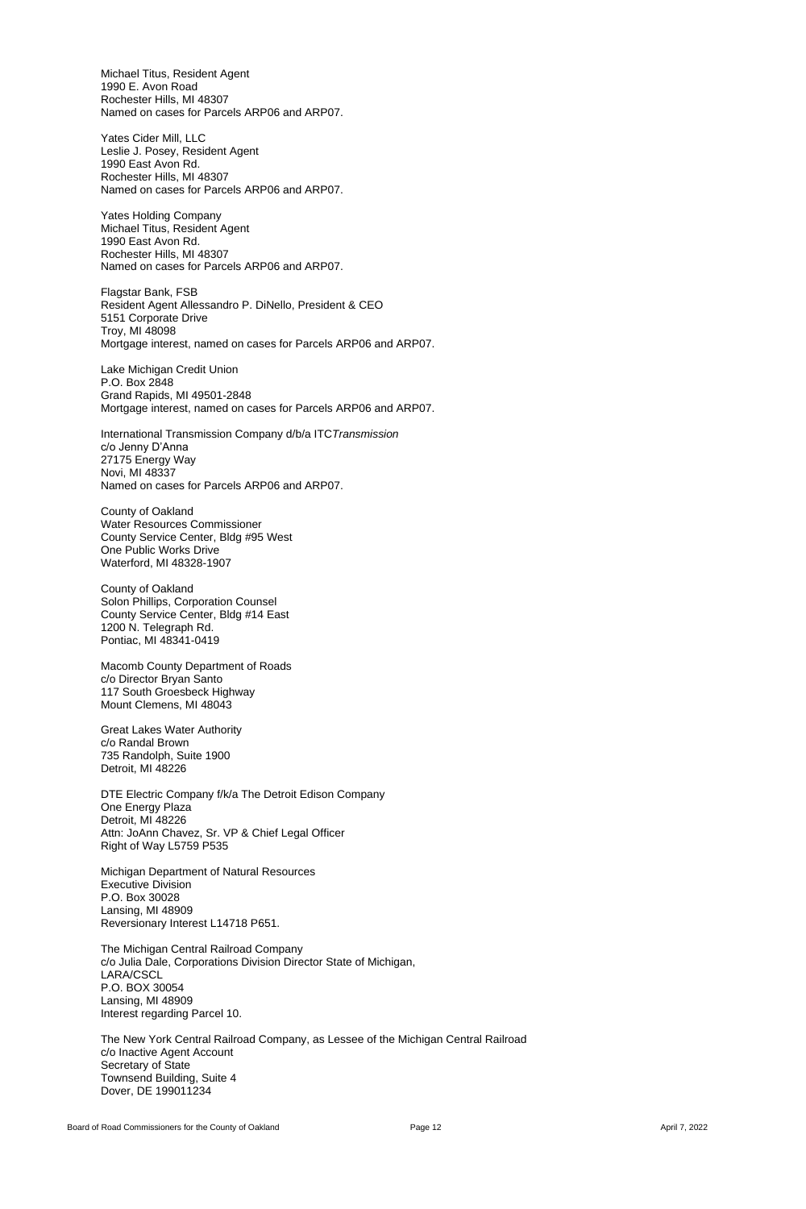Michael Titus, Resident Agent 1990 E. Avon Road Rochester Hills, MI 48307 Named on cases for Parcels ARP06 and ARP07.

Yates Cider Mill, LLC Leslie J. Posey, Resident Agent 1990 East Avon Rd. Rochester Hills, MI 48307 Named on cases for Parcels ARP06 and ARP07.

Yates Holding Company Michael Titus, Resident Agent 1990 East Avon Rd. Rochester Hills, MI 48307 Named on cases for Parcels ARP06 and ARP07.

Flagstar Bank, FSB Resident Agent Allessandro P. DiNello, President & CEO 5151 Corporate Drive Troy, MI 48098 Mortgage interest, named on cases for Parcels ARP06 and ARP07.

Lake Michigan Credit Union P.O. Box 2848 Grand Rapids, MI 49501-2848 Mortgage interest, named on cases for Parcels ARP06 and ARP07.

International Transmission Company d/b/a ITC*Transmission* c/o Jenny D'Anna 27175 Energy Way Novi, MI 48337 Named on cases for Parcels ARP06 and ARP07.

County of Oakland Water Resources Commissioner County Service Center, Bldg #95 West One Public Works Drive Waterford, MI 48328-1907

County of Oakland Solon Phillips, Corporation Counsel County Service Center, Bldg #14 East 1200 N. Telegraph Rd. Pontiac, MI 48341-0419

Macomb County Department of Roads c/o Director Bryan Santo 117 South Groesbeck Highway Mount Clemens, MI 48043

Great Lakes Water Authority c/o Randal Brown 735 Randolph, Suite 1900 Detroit, MI 48226

DTE Electric Company f/k/a The Detroit Edison Company One Energy Plaza Detroit, MI 48226 Attn: JoAnn Chavez, Sr. VP & Chief Legal Officer

Right of Way L5759 P535

Michigan Department of Natural Resources Executive Division P.O. Box 30028 Lansing, MI 48909 Reversionary Interest L14718 P651.

The Michigan Central Railroad Company c/o Julia Dale, Corporations Division Director State of Michigan, LARA/CSCL P.O. BOX 30054 Lansing, MI 48909 Interest regarding Parcel 10.

The New York Central Railroad Company, as Lessee of the Michigan Central Railroad c/o Inactive Agent Account Secretary of State Townsend Building, Suite 4 Dover, DE 199011234

Board of Road Commissioners for the County of Oakland **Page 12 Page 12** April 7, 2022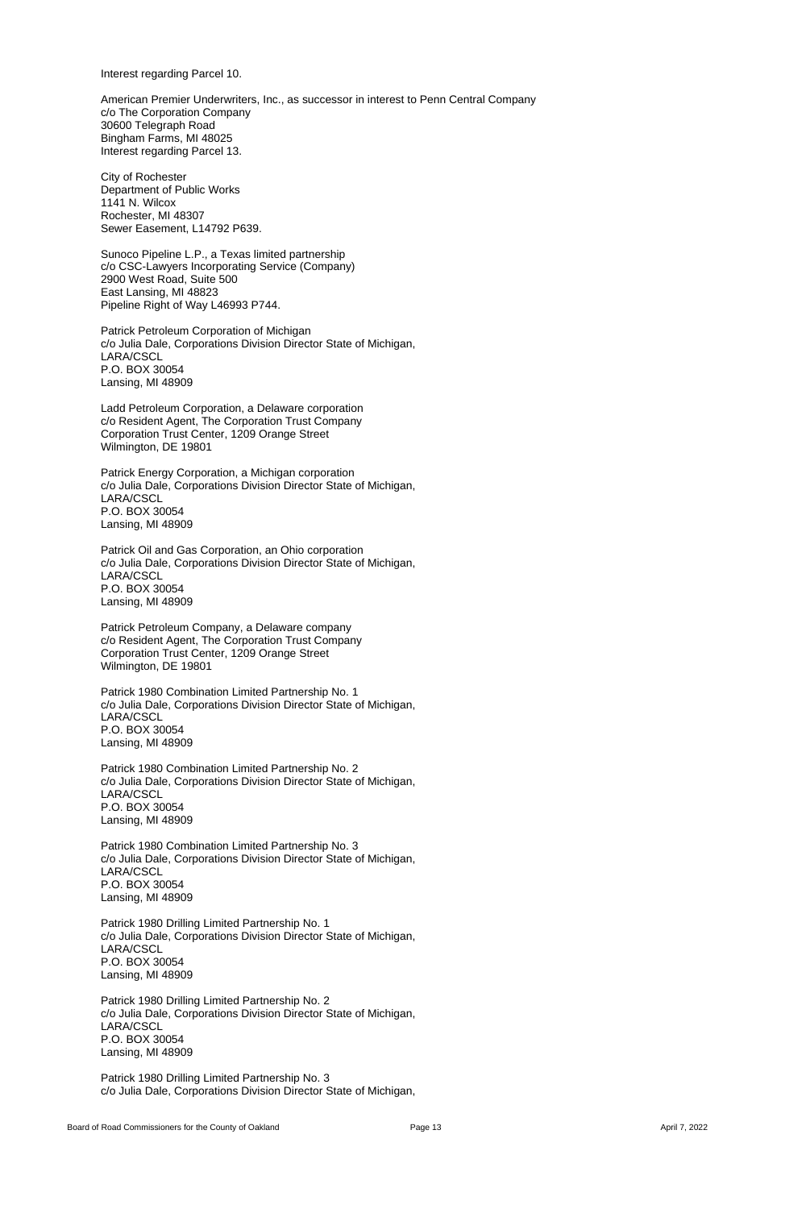Interest regarding Parcel 10.

American Premier Underwriters, Inc., as successor in interest to Penn Central Company c/o The Corporation Company 30600 Telegraph Road Bingham Farms, MI 48025 Interest regarding Parcel 13.

City of Rochester Department of Public Works 1141 N. Wilcox Rochester, MI 48307 Sewer Easement, L14792 P639.

Sunoco Pipeline L.P., a Texas limited partnership c/o CSC-Lawyers Incorporating Service (Company) 2900 West Road, Suite 500 East Lansing, MI 48823 Pipeline Right of Way L46993 P744.

Patrick Petroleum Corporation of Michigan c/o Julia Dale, Corporations Division Director State of Michigan, LARA/CSCL P.O. BOX 30054 Lansing, MI 48909

Ladd Petroleum Corporation, a Delaware corporation c/o Resident Agent, The Corporation Trust Company Corporation Trust Center, 1209 Orange Street Wilmington, DE 19801

Patrick Energy Corporation, a Michigan corporation c/o Julia Dale, Corporations Division Director State of Michigan, LARA/CSCL P.O. BOX 30054 Lansing, MI 48909

Patrick Oil and Gas Corporation, an Ohio corporation c/o Julia Dale, Corporations Division Director State of Michigan, LARA/CSCL P.O. BOX 30054 Lansing, MI 48909

Patrick Petroleum Company, a Delaware company c/o Resident Agent, The Corporation Trust Company Corporation Trust Center, 1209 Orange Street Wilmington, DE 19801

Patrick 1980 Combination Limited Partnership No. 1 c/o Julia Dale, Corporations Division Director State of Michigan, LARA/CSCL P.O. BOX 30054 Lansing, MI 48909

Patrick 1980 Combination Limited Partnership No. 2 c/o Julia Dale, Corporations Division Director State of Michigan, LARA/CSCL P.O. BOX 30054 Lansing, MI 48909

Patrick 1980 Combination Limited Partnership No. 3 c/o Julia Dale, Corporations Division Director State of Michigan, LARA/CSCL P.O. BOX 30054 Lansing, MI 48909

Patrick 1980 Drilling Limited Partnership No. 1 c/o Julia Dale, Corporations Division Director State of Michigan, LARA/CSCL P.O. BOX 30054 Lansing, MI 48909

Patrick 1980 Drilling Limited Partnership No. 2 c/o Julia Dale, Corporations Division Director State of Michigan, LARA/CSCL P.O. BOX 30054 Lansing, MI 48909

Patrick 1980 Drilling Limited Partnership No. 3 c/o Julia Dale, Corporations Division Director State of Michigan,

Board of Road Commissioners for the County of Oakland **Page 13** Page 13 April 7, 2022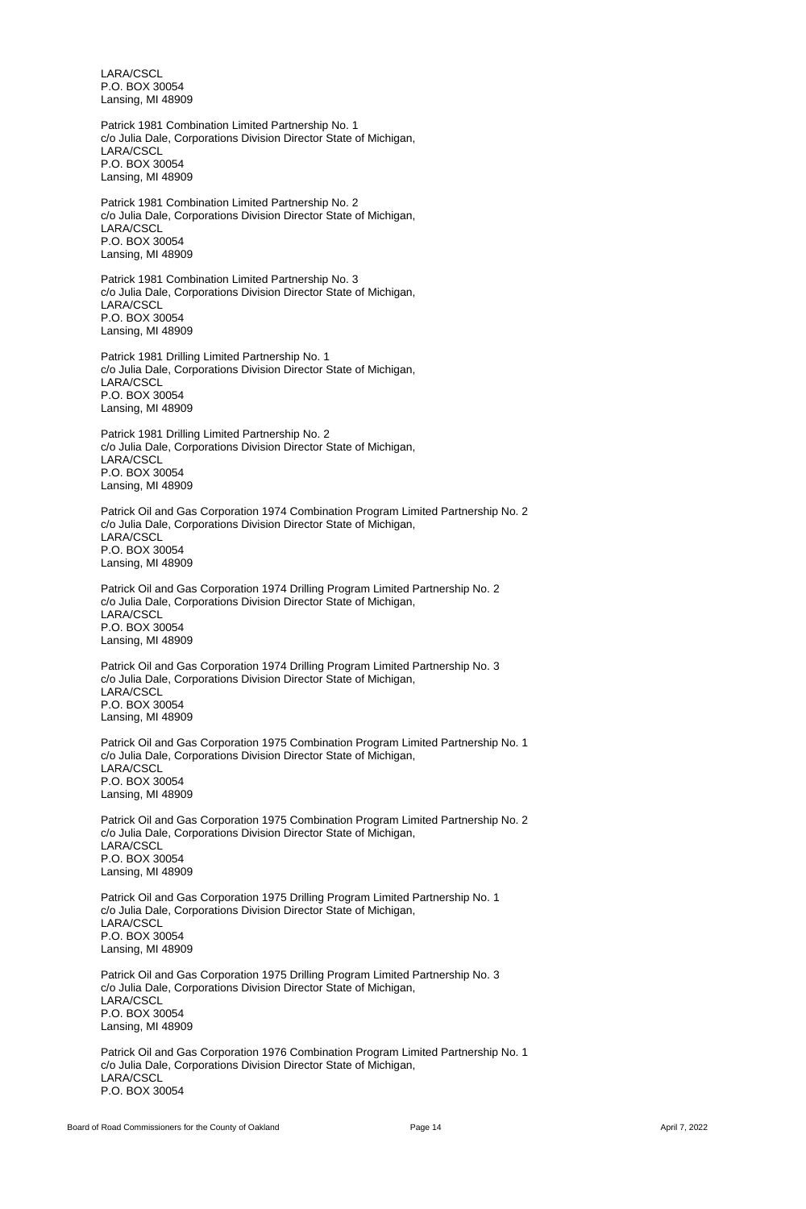LARA/CSCL P.O. BOX 30054 Lansing, MI 48909

Patrick 1981 Combination Limited Partnership No. 1 c/o Julia Dale, Corporations Division Director State of Michigan, LARA/CSCL P.O. BOX 30054 Lansing, MI 48909

Patrick 1981 Combination Limited Partnership No. 2 c/o Julia Dale, Corporations Division Director State of Michigan, LARA/CSCL P.O. BOX 30054 Lansing, MI 48909

Patrick 1981 Combination Limited Partnership No. 3 c/o Julia Dale, Corporations Division Director State of Michigan, LARA/CSCL P.O. BOX 30054 Lansing, MI 48909

Patrick 1981 Drilling Limited Partnership No. 1 c/o Julia Dale, Corporations Division Director State of Michigan, LARA/CSCL P.O. BOX 30054 Lansing, MI 48909

Patrick 1981 Drilling Limited Partnership No. 2 c/o Julia Dale, Corporations Division Director State of Michigan, LARA/CSCL P.O. BOX 30054 Lansing, MI 48909

Patrick Oil and Gas Corporation 1974 Combination Program Limited Partnership No. 2 c/o Julia Dale, Corporations Division Director State of Michigan, LARA/CSCL P.O. BOX 30054 Lansing, MI 48909

Patrick Oil and Gas Corporation 1974 Drilling Program Limited Partnership No. 2 c/o Julia Dale, Corporations Division Director State of Michigan, LARA/CSCL P.O. BOX 30054 Lansing, MI 48909

Patrick Oil and Gas Corporation 1974 Drilling Program Limited Partnership No. 3 c/o Julia Dale, Corporations Division Director State of Michigan, LARA/CSCL P.O. BOX 30054 Lansing, MI 48909

Patrick Oil and Gas Corporation 1975 Combination Program Limited Partnership No. 1 c/o Julia Dale, Corporations Division Director State of Michigan, LARA/CSCL P.O. BOX 30054 Lansing, MI 48909

Patrick Oil and Gas Corporation 1975 Combination Program Limited Partnership No. 2 c/o Julia Dale, Corporations Division Director State of Michigan,

LARA/CSCL P.O. BOX 30054 Lansing, MI 48909

Patrick Oil and Gas Corporation 1975 Drilling Program Limited Partnership No. 1 c/o Julia Dale, Corporations Division Director State of Michigan, LARA/CSCL P.O. BOX 30054 Lansing, MI 48909

Patrick Oil and Gas Corporation 1975 Drilling Program Limited Partnership No. 3 c/o Julia Dale, Corporations Division Director State of Michigan, LARA/CSCL P.O. BOX 30054 Lansing, MI 48909

Patrick Oil and Gas Corporation 1976 Combination Program Limited Partnership No. 1 c/o Julia Dale, Corporations Division Director State of Michigan, LARA/CSCL P.O. BOX 30054

Board of Road Commissioners for the County of Oakland **Page 14** Page 14 **Page 14** April 7, 2022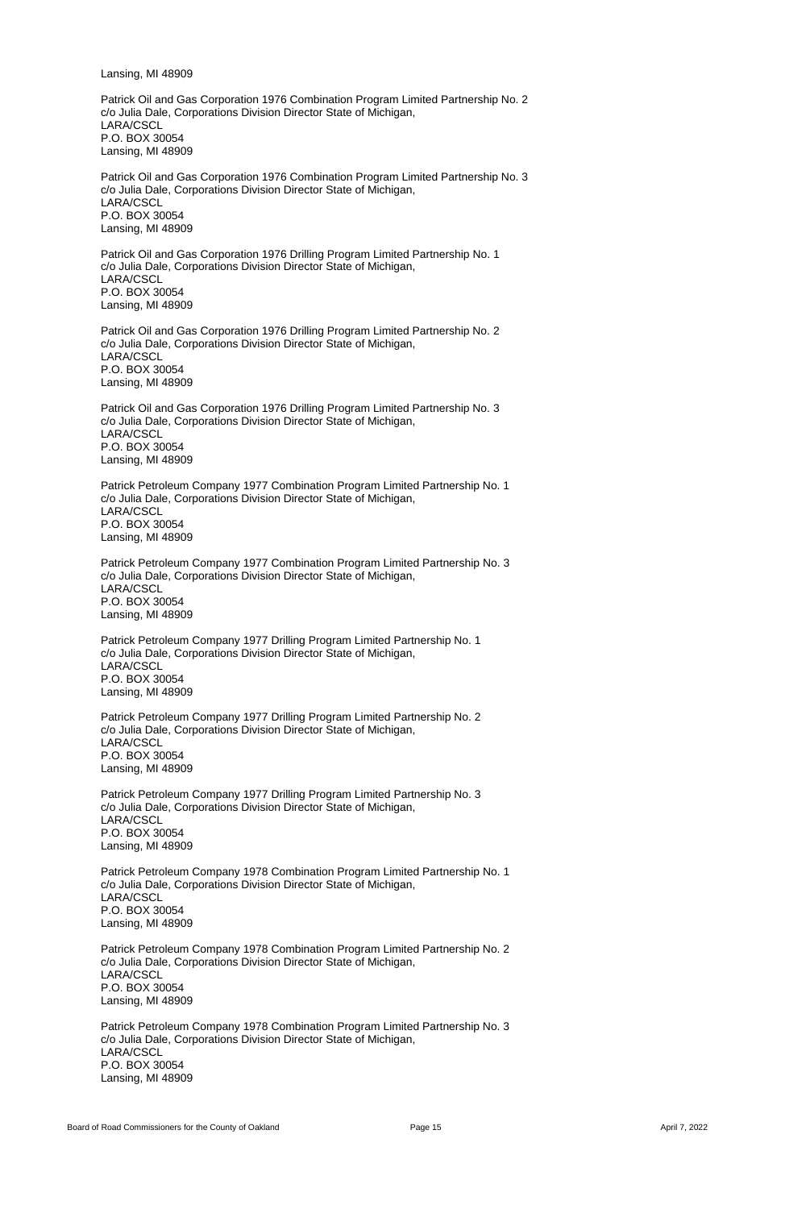Lansing, MI 48909

Patrick Oil and Gas Corporation 1976 Combination Program Limited Partnership No. 2 c/o Julia Dale, Corporations Division Director State of Michigan, LARA/CSCL P.O. BOX 30054 Lansing, MI 48909

Patrick Oil and Gas Corporation 1976 Combination Program Limited Partnership No. 3 c/o Julia Dale, Corporations Division Director State of Michigan, LARA/CSCL P.O. BOX 30054 Lansing, MI 48909

Patrick Oil and Gas Corporation 1976 Drilling Program Limited Partnership No. 1 c/o Julia Dale, Corporations Division Director State of Michigan, LARA/CSCL P.O. BOX 30054 Lansing, MI 48909

Patrick Oil and Gas Corporation 1976 Drilling Program Limited Partnership No. 2 c/o Julia Dale, Corporations Division Director State of Michigan, LARA/CSCL P.O. BOX 30054 Lansing, MI 48909

Patrick Oil and Gas Corporation 1976 Drilling Program Limited Partnership No. 3 c/o Julia Dale, Corporations Division Director State of Michigan, LARA/CSCL P.O. BOX 30054 Lansing, MI 48909

Patrick Petroleum Company 1977 Combination Program Limited Partnership No. 1 c/o Julia Dale, Corporations Division Director State of Michigan, LARA/CSCL P.O. BOX 30054 Lansing, MI 48909

Patrick Petroleum Company 1977 Combination Program Limited Partnership No. 3 c/o Julia Dale, Corporations Division Director State of Michigan, LARA/CSCL P.O. BOX 30054 Lansing, MI 48909

Patrick Petroleum Company 1977 Drilling Program Limited Partnership No. 1 c/o Julia Dale, Corporations Division Director State of Michigan, LARA/CSCL P.O. BOX 30054 Lansing, MI 48909

Patrick Petroleum Company 1977 Drilling Program Limited Partnership No. 2 c/o Julia Dale, Corporations Division Director State of Michigan, LARA/CSCL P.O. BOX 30054 Lansing, MI 48909

Patrick Petroleum Company 1977 Drilling Program Limited Partnership No. 3 c/o Julia Dale, Corporations Division Director State of Michigan, LARA/CSCL P.O. BOX 30054

Lansing, MI 48909

Patrick Petroleum Company 1978 Combination Program Limited Partnership No. 1 c/o Julia Dale, Corporations Division Director State of Michigan, LARA/CSCL P.O. BOX 30054 Lansing, MI 48909

Patrick Petroleum Company 1978 Combination Program Limited Partnership No. 2 c/o Julia Dale, Corporations Division Director State of Michigan, LARA/CSCL P.O. BOX 30054 Lansing, MI 48909

Patrick Petroleum Company 1978 Combination Program Limited Partnership No. 3 c/o Julia Dale, Corporations Division Director State of Michigan, LARA/CSCL P.O. BOX 30054 Lansing, MI 48909

Board of Road Commissioners for the County of Oakland **Page 15 Page 15 April 7, 2022 April 7, 2022**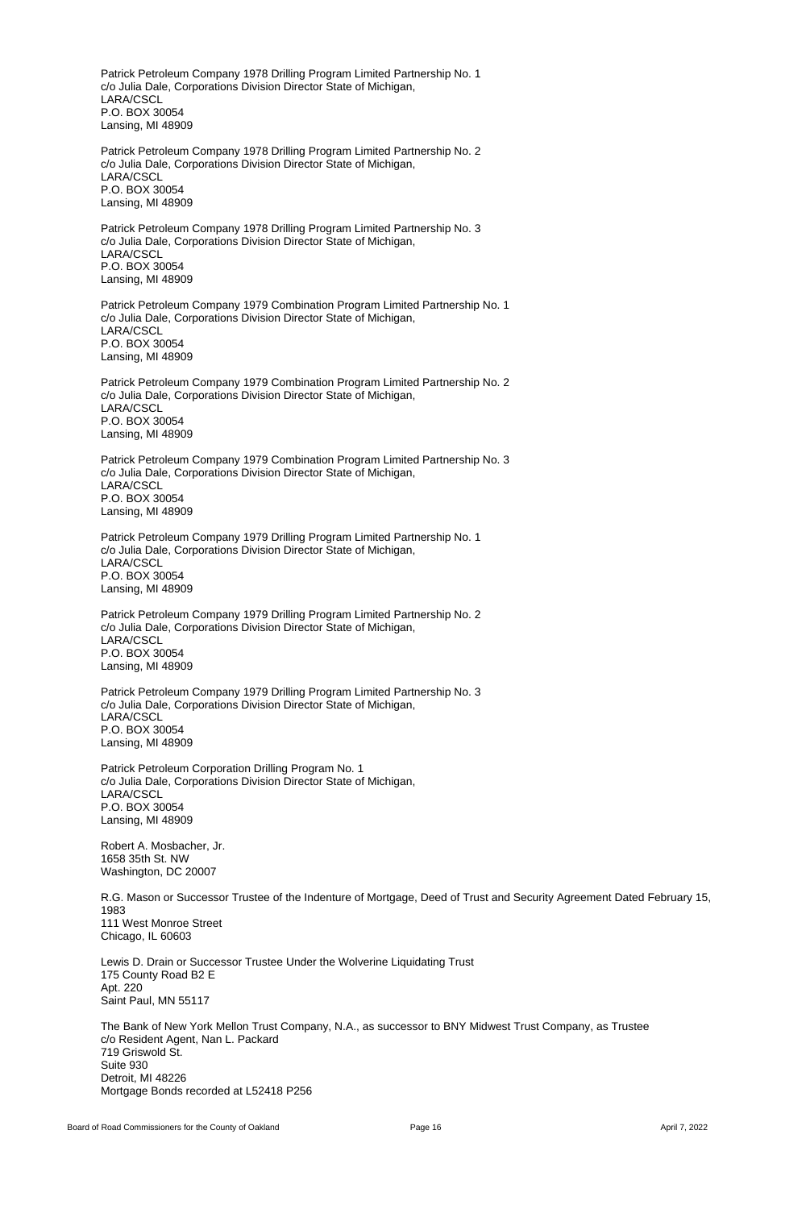Patrick Petroleum Company 1978 Drilling Program Limited Partnership No. 1 c/o Julia Dale, Corporations Division Director State of Michigan, LARA/CSCL P.O. BOX 30054 Lansing, MI 48909

Patrick Petroleum Company 1978 Drilling Program Limited Partnership No. 2 c/o Julia Dale, Corporations Division Director State of Michigan, LARA/CSCL P.O. BOX 30054 Lansing, MI 48909

Patrick Petroleum Company 1978 Drilling Program Limited Partnership No. 3 c/o Julia Dale, Corporations Division Director State of Michigan, LARA/CSCL P.O. BOX 30054 Lansing, MI 48909

Patrick Petroleum Company 1979 Combination Program Limited Partnership No. 1 c/o Julia Dale, Corporations Division Director State of Michigan, LARA/CSCL P.O. BOX 30054 Lansing, MI 48909

Patrick Petroleum Company 1979 Combination Program Limited Partnership No. 2 c/o Julia Dale, Corporations Division Director State of Michigan, LARA/CSCL P.O. BOX 30054 Lansing, MI 48909

Patrick Petroleum Company 1979 Combination Program Limited Partnership No. 3 c/o Julia Dale, Corporations Division Director State of Michigan, LARA/CSCL P.O. BOX 30054 Lansing, MI 48909

Patrick Petroleum Company 1979 Drilling Program Limited Partnership No. 1 c/o Julia Dale, Corporations Division Director State of Michigan, LARA/CSCL P.O. BOX 30054 Lansing, MI 48909

Patrick Petroleum Company 1979 Drilling Program Limited Partnership No. 2 c/o Julia Dale, Corporations Division Director State of Michigan, LARA/CSCL P.O. BOX 30054 Lansing, MI 48909

Patrick Petroleum Company 1979 Drilling Program Limited Partnership No. 3 c/o Julia Dale, Corporations Division Director State of Michigan, LARA/CSCL P.O. BOX 30054 Lansing, MI 48909

Patrick Petroleum Corporation Drilling Program No. 1 c/o Julia Dale, Corporations Division Director State of Michigan, LARA/CSCL P.O. BOX 30054 Lansing, MI 48909

Robert A. Mosbacher, Jr. 1658 35th St. NW Washington, DC 20007

R.G. Mason or Successor Trustee of the Indenture of Mortgage, Deed of Trust and Security Agreement Dated February 15, 1983 111 West Monroe Street Chicago, IL 60603

Lewis D. Drain or Successor Trustee Under the Wolverine Liquidating Trust 175 County Road B2 E Apt. 220 Saint Paul, MN 55117

The Bank of New York Mellon Trust Company, N.A., as successor to BNY Midwest Trust Company, as Trustee c/o Resident Agent, Nan L. Packard 719 Griswold St. Suite 930 Detroit, MI 48226 Mortgage Bonds recorded at L52418 P256

Board of Road Commissioners for the County of Oakland **Page 16 Page 16 April 7, 2022 April 7, 2022**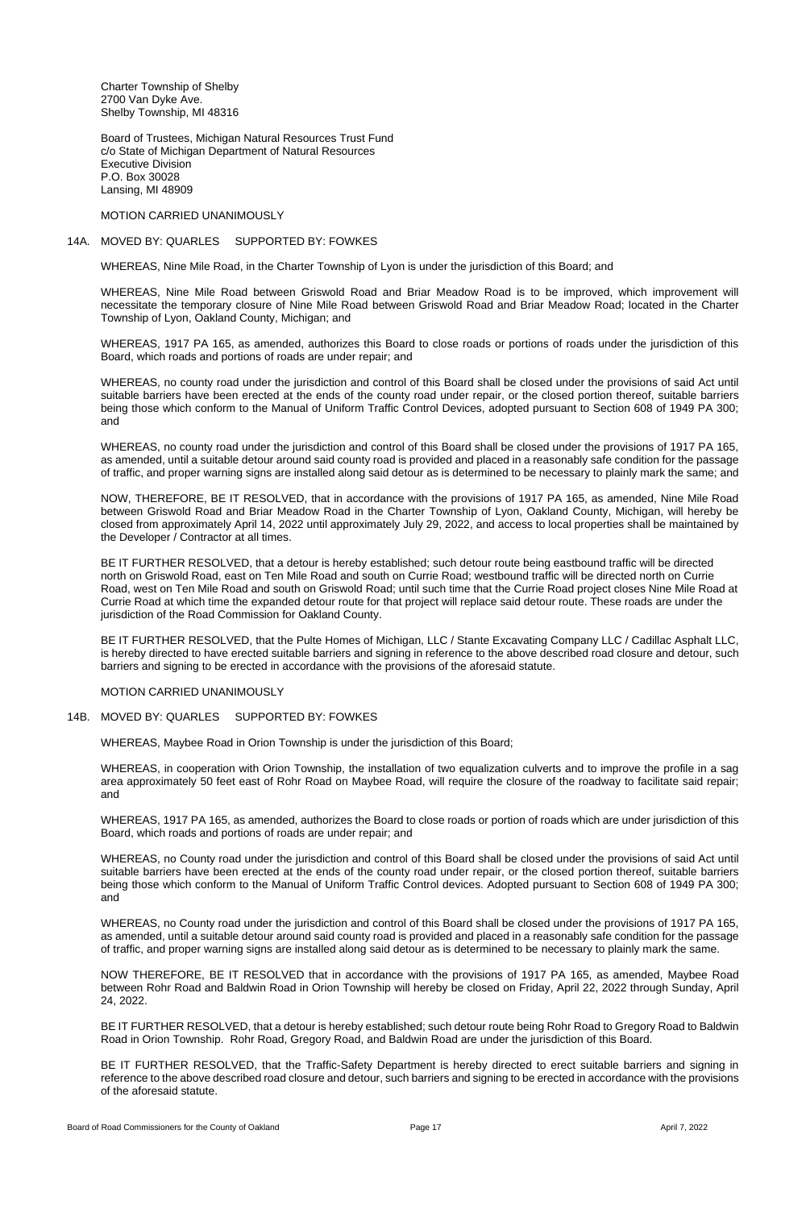Charter Township of Shelby 2700 Van Dyke Ave. Shelby Township, MI 48316

Board of Trustees, Michigan Natural Resources Trust Fund c/o State of Michigan Department of Natural Resources Executive Division P.O. Box 30028 Lansing, MI 48909

MOTION CARRIED UNANIMOUSLY

#### 14A. MOVED BY: QUARLES SUPPORTED BY: FOWKES

WHEREAS, Nine Mile Road, in the Charter Township of Lyon is under the jurisdiction of this Board; and

WHEREAS, Nine Mile Road between Griswold Road and Briar Meadow Road is to be improved, which improvement will necessitate the temporary closure of Nine Mile Road between Griswold Road and Briar Meadow Road; located in the Charter Township of Lyon, Oakland County, Michigan; and

WHEREAS, 1917 PA 165, as amended, authorizes this Board to close roads or portions of roads under the jurisdiction of this Board, which roads and portions of roads are under repair; and

WHEREAS, no county road under the jurisdiction and control of this Board shall be closed under the provisions of said Act until suitable barriers have been erected at the ends of the county road under repair, or the closed portion thereof, suitable barriers being those which conform to the Manual of Uniform Traffic Control Devices, adopted pursuant to Section 608 of 1949 PA 300; and

WHEREAS, no county road under the jurisdiction and control of this Board shall be closed under the provisions of 1917 PA 165, as amended, until a suitable detour around said county road is provided and placed in a reasonably safe condition for the passage of traffic, and proper warning signs are installed along said detour as is determined to be necessary to plainly mark the same; and

NOW, THEREFORE, BE IT RESOLVED, that in accordance with the provisions of 1917 PA 165, as amended, Nine Mile Road between Griswold Road and Briar Meadow Road in the Charter Township of Lyon, Oakland County, Michigan, will hereby be closed from approximately April 14, 2022 until approximately July 29, 2022, and access to local properties shall be maintained by the Developer / Contractor at all times.

BE IT FURTHER RESOLVED, that a detour is hereby established; such detour route being eastbound traffic will be directed north on Griswold Road, east on Ten Mile Road and south on Currie Road; westbound traffic will be directed north on Currie Road, west on Ten Mile Road and south on Griswold Road; until such time that the Currie Road project closes Nine Mile Road at Currie Road at which time the expanded detour route for that project will replace said detour route. These roads are under the jurisdiction of the Road Commission for Oakland County.

BE IT FURTHER RESOLVED, that the Pulte Homes of Michigan, LLC / Stante Excavating Company LLC / Cadillac Asphalt LLC, is hereby directed to have erected suitable barriers and signing in reference to the above described road closure and detour, such barriers and signing to be erected in accordance with the provisions of the aforesaid statute.

#### MOTION CARRIED UNANIMOUSLY

## 14B. MOVED BY: QUARLES SUPPORTED BY: FOWKES

WHEREAS, Maybee Road in Orion Township is under the jurisdiction of this Board;

WHEREAS, in cooperation with Orion Township, the installation of two equalization culverts and to improve the profile in a sag area approximately 50 feet east of Rohr Road on Maybee Road, will require the closure of the roadway to facilitate said repair; and

WHEREAS, 1917 PA 165, as amended, authorizes the Board to close roads or portion of roads which are under jurisdiction of this Board, which roads and portions of roads are under repair; and

WHEREAS, no County road under the jurisdiction and control of this Board shall be closed under the provisions of said Act until suitable barriers have been erected at the ends of the county road under repair, or the closed portion thereof, suitable barriers being those which conform to the Manual of Uniform Traffic Control devices. Adopted pursuant to Section 608 of 1949 PA 300; and

WHEREAS, no County road under the jurisdiction and control of this Board shall be closed under the provisions of 1917 PA 165, as amended, until a suitable detour around said county road is provided and placed in a reasonably safe condition for the passage of traffic, and proper warning signs are installed along said detour as is determined to be necessary to plainly mark the same.

NOW THEREFORE, BE IT RESOLVED that in accordance with the provisions of 1917 PA 165, as amended, Maybee Road between Rohr Road and Baldwin Road in Orion Township will hereby be closed on Friday, April 22, 2022 through Sunday, April 24, 2022.

BE IT FURTHER RESOLVED, that a detour is hereby established; such detour route being Rohr Road to Gregory Road to Baldwin Road in Orion Township. Rohr Road, Gregory Road, and Baldwin Road are under the jurisdiction of this Board.

BE IT FURTHER RESOLVED, that the Traffic-Safety Department is hereby directed to erect suitable barriers and signing in reference to the above described road closure and detour, such barriers and signing to be erected in accordance with the provisions of the aforesaid statute.

Board of Road Commissioners for the County of Oakland **Page 17** Page 17 April 7, 2022 **April 7, 2022** April 7, 2022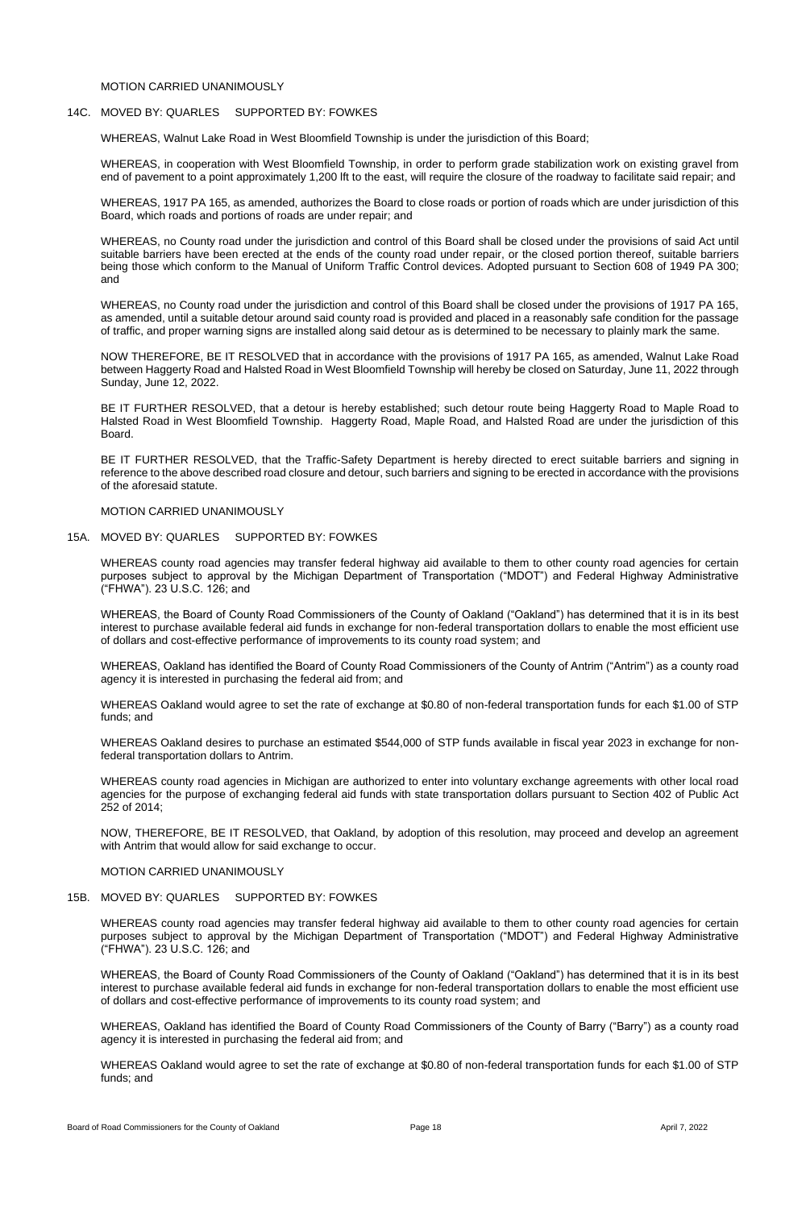## MOTION CARRIED UNANIMOUSLY

#### 14C. MOVED BY: QUARLES SUPPORTED BY: FOWKES

WHEREAS, Walnut Lake Road in West Bloomfield Township is under the jurisdiction of this Board;

WHEREAS, in cooperation with West Bloomfield Township, in order to perform grade stabilization work on existing gravel from end of pavement to a point approximately 1,200 lft to the east, will require the closure of the roadway to facilitate said repair; and

WHEREAS, 1917 PA 165, as amended, authorizes the Board to close roads or portion of roads which are under jurisdiction of this Board, which roads and portions of roads are under repair; and

WHEREAS, no County road under the jurisdiction and control of this Board shall be closed under the provisions of said Act until suitable barriers have been erected at the ends of the county road under repair, or the closed portion thereof, suitable barriers being those which conform to the Manual of Uniform Traffic Control devices. Adopted pursuant to Section 608 of 1949 PA 300; and

WHEREAS, no County road under the jurisdiction and control of this Board shall be closed under the provisions of 1917 PA 165, as amended, until a suitable detour around said county road is provided and placed in a reasonably safe condition for the passage of traffic, and proper warning signs are installed along said detour as is determined to be necessary to plainly mark the same.

NOW THEREFORE, BE IT RESOLVED that in accordance with the provisions of 1917 PA 165, as amended, Walnut Lake Road between Haggerty Road and Halsted Road in West Bloomfield Township will hereby be closed on Saturday, June 11, 2022 through Sunday, June 12, 2022.

BE IT FURTHER RESOLVED, that a detour is hereby established; such detour route being Haggerty Road to Maple Road to Halsted Road in West Bloomfield Township. Haggerty Road, Maple Road, and Halsted Road are under the jurisdiction of this Board.

BE IT FURTHER RESOLVED, that the Traffic-Safety Department is hereby directed to erect suitable barriers and signing in reference to the above described road closure and detour, such barriers and signing to be erected in accordance with the provisions of the aforesaid statute.

#### MOTION CARRIED UNANIMOUSLY

#### 15A. MOVED BY: QUARLES SUPPORTED BY: FOWKES

WHEREAS county road agencies may transfer federal highway aid available to them to other county road agencies for certain purposes subject to approval by the Michigan Department of Transportation ("MDOT") and Federal Highway Administrative ("FHWA"). 23 U.S.C. 126; and

WHEREAS, the Board of County Road Commissioners of the County of Oakland ("Oakland") has determined that it is in its best interest to purchase available federal aid funds in exchange for non-federal transportation dollars to enable the most efficient use of dollars and cost-effective performance of improvements to its county road system; and

WHEREAS, Oakland has identified the Board of County Road Commissioners of the County of Antrim ("Antrim") as a county road agency it is interested in purchasing the federal aid from; and

WHEREAS Oakland would agree to set the rate of exchange at \$0.80 of non-federal transportation funds for each \$1.00 of STP funds; and

WHEREAS Oakland desires to purchase an estimated \$544,000 of STP funds available in fiscal year 2023 in exchange for nonfederal transportation dollars to Antrim.

WHEREAS county road agencies in Michigan are authorized to enter into voluntary exchange agreements with other local road agencies for the purpose of exchanging federal aid funds with state transportation dollars pursuant to Section 402 of Public Act 252 of 2014;

NOW, THEREFORE, BE IT RESOLVED, that Oakland, by adoption of this resolution, may proceed and develop an agreement

with Antrim that would allow for said exchange to occur.

MOTION CARRIED UNANIMOUSLY

# 15B. MOVED BY: QUARLES SUPPORTED BY: FOWKES

WHEREAS county road agencies may transfer federal highway aid available to them to other county road agencies for certain purposes subject to approval by the Michigan Department of Transportation ("MDOT") and Federal Highway Administrative ("FHWA"). 23 U.S.C. 126; and

WHEREAS, the Board of County Road Commissioners of the County of Oakland ("Oakland") has determined that it is in its best interest to purchase available federal aid funds in exchange for non-federal transportation dollars to enable the most efficient use of dollars and cost-effective performance of improvements to its county road system; and

WHEREAS, Oakland has identified the Board of County Road Commissioners of the County of Barry ("Barry") as a county road agency it is interested in purchasing the federal aid from; and

WHEREAS Oakland would agree to set the rate of exchange at \$0.80 of non-federal transportation funds for each \$1.00 of STP funds; and

Board of Road Commissioners for the County of Oakland **Page 18 Page 18 Page 18** April 7, 2022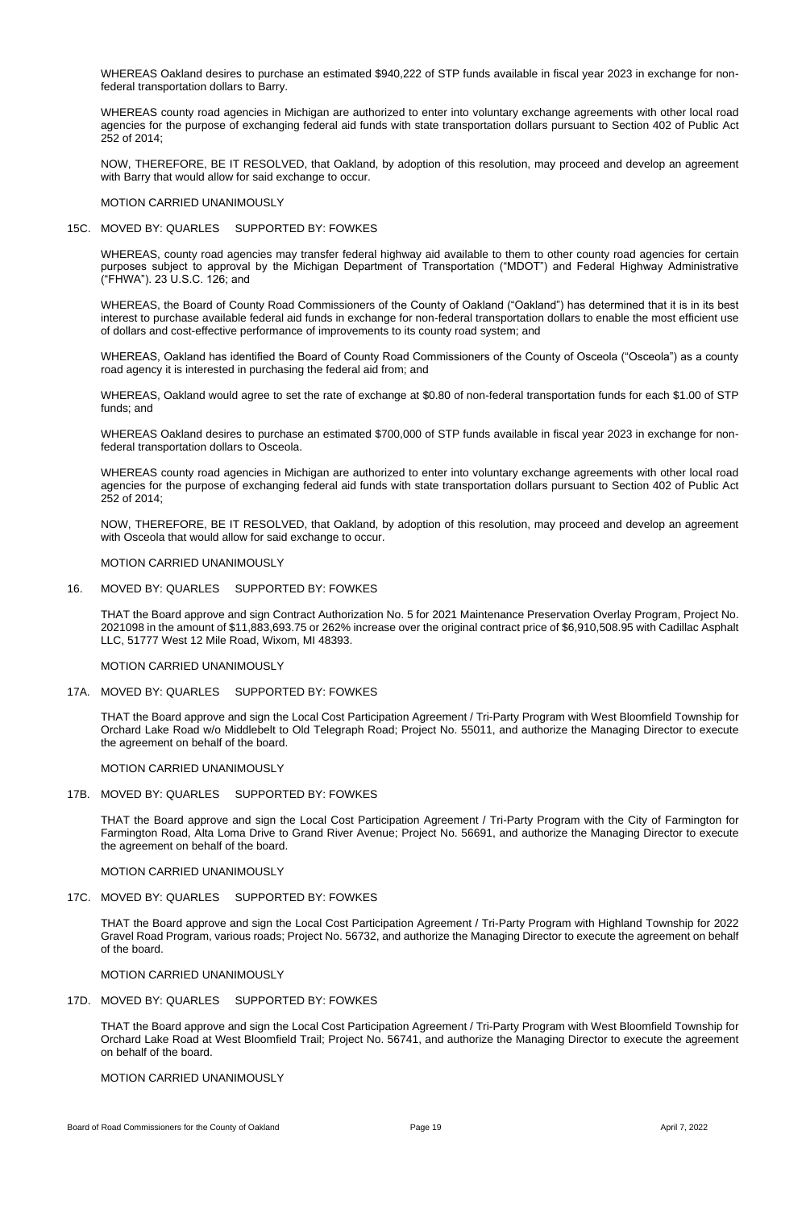WHEREAS Oakland desires to purchase an estimated \$940,222 of STP funds available in fiscal year 2023 in exchange for nonfederal transportation dollars to Barry.

WHEREAS county road agencies in Michigan are authorized to enter into voluntary exchange agreements with other local road agencies for the purpose of exchanging federal aid funds with state transportation dollars pursuant to Section 402 of Public Act 252 of 2014;

NOW, THEREFORE, BE IT RESOLVED, that Oakland, by adoption of this resolution, may proceed and develop an agreement with Barry that would allow for said exchange to occur.

MOTION CARRIED UNANIMOUSLY

#### 15C. MOVED BY: QUARLES SUPPORTED BY: FOWKES

WHEREAS, county road agencies may transfer federal highway aid available to them to other county road agencies for certain purposes subject to approval by the Michigan Department of Transportation ("MDOT") and Federal Highway Administrative ("FHWA"). 23 U.S.C. 126; and

WHEREAS, the Board of County Road Commissioners of the County of Oakland ("Oakland") has determined that it is in its best interest to purchase available federal aid funds in exchange for non-federal transportation dollars to enable the most efficient use of dollars and cost-effective performance of improvements to its county road system; and

WHEREAS, Oakland has identified the Board of County Road Commissioners of the County of Osceola ("Osceola") as a county road agency it is interested in purchasing the federal aid from; and

WHEREAS, Oakland would agree to set the rate of exchange at \$0.80 of non-federal transportation funds for each \$1.00 of STP funds; and

WHEREAS Oakland desires to purchase an estimated \$700,000 of STP funds available in fiscal year 2023 in exchange for nonfederal transportation dollars to Osceola.

WHEREAS county road agencies in Michigan are authorized to enter into voluntary exchange agreements with other local road agencies for the purpose of exchanging federal aid funds with state transportation dollars pursuant to Section 402 of Public Act 252 of 2014;

NOW, THEREFORE, BE IT RESOLVED, that Oakland, by adoption of this resolution, may proceed and develop an agreement with Osceola that would allow for said exchange to occur.

MOTION CARRIED UNANIMOUSLY

### 16. MOVED BY: QUARLES SUPPORTED BY: FOWKES

THAT the Board approve and sign Contract Authorization No. 5 for 2021 Maintenance Preservation Overlay Program, Project No. 2021098 in the amount of \$11,883,693.75 or 262% increase over the original contract price of \$6,910,508.95 with Cadillac Asphalt LLC, 51777 West 12 Mile Road, Wixom, MI 48393.

MOTION CARRIED UNANIMOUSLY

17A. MOVED BY: QUARLES SUPPORTED BY: FOWKES

THAT the Board approve and sign the Local Cost Participation Agreement / Tri-Party Program with West Bloomfield Township for Orchard Lake Road w/o Middlebelt to Old Telegraph Road; Project No. 55011, and authorize the Managing Director to execute the agreement on behalf of the board.

MOTION CARRIED UNANIMOUSLY

## 17B. MOVED BY: QUARLES SUPPORTED BY: FOWKES

THAT the Board approve and sign the Local Cost Participation Agreement / Tri-Party Program with the City of Farmington for Farmington Road, Alta Loma Drive to Grand River Avenue; Project No. 56691, and authorize the Managing Director to execute

the agreement on behalf of the board.

MOTION CARRIED UNANIMOUSLY

# 17C. MOVED BY: QUARLES SUPPORTED BY: FOWKES

THAT the Board approve and sign the Local Cost Participation Agreement / Tri-Party Program with Highland Township for 2022 Gravel Road Program, various roads; Project No. 56732, and authorize the Managing Director to execute the agreement on behalf of the board.

MOTION CARRIED UNANIMOUSLY

# 17D. MOVED BY: QUARLES SUPPORTED BY: FOWKES

THAT the Board approve and sign the Local Cost Participation Agreement / Tri-Party Program with West Bloomfield Township for Orchard Lake Road at West Bloomfield Trail; Project No. 56741, and authorize the Managing Director to execute the agreement on behalf of the board.

# MOTION CARRIED UNANIMOUSLY

Board of Road Commissioners for the County of Oakland **Page 19 Page 19 Page 19** April 7, 2022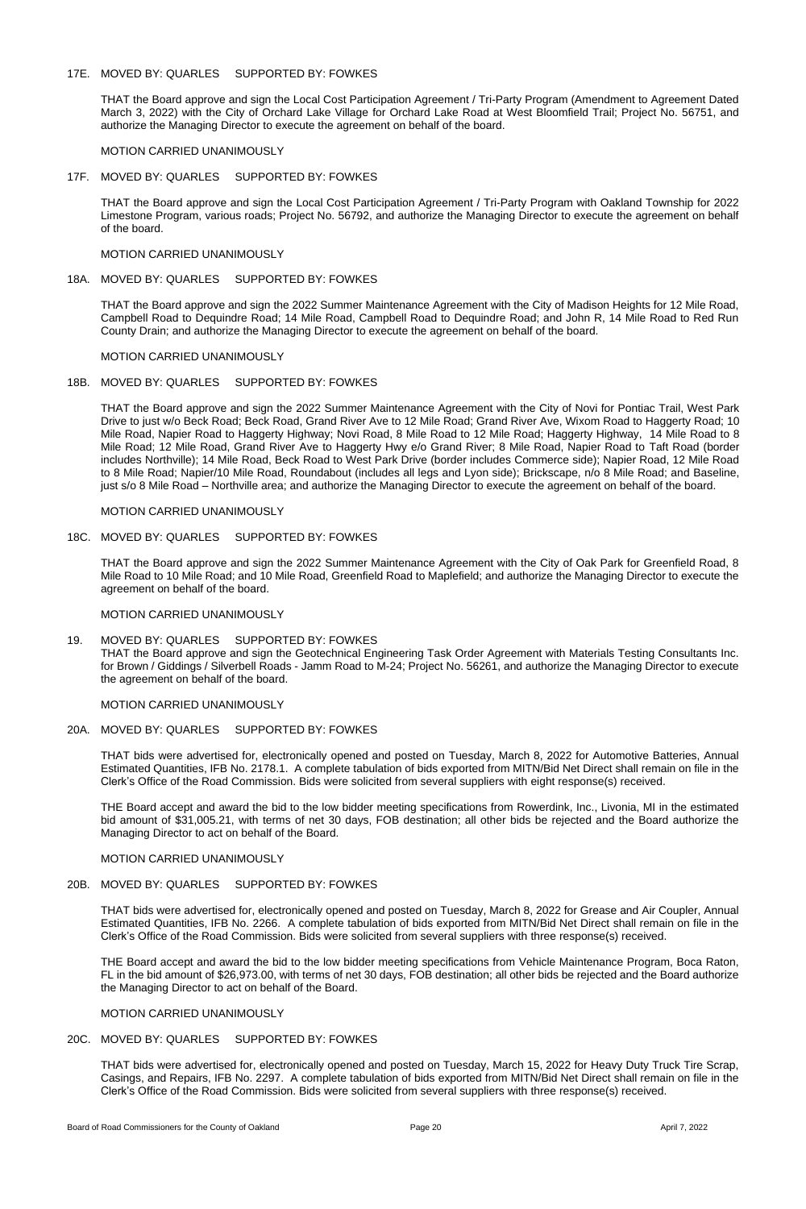## 17E. MOVED BY: QUARLES SUPPORTED BY: FOWKES

THAT the Board approve and sign the Local Cost Participation Agreement / Tri-Party Program (Amendment to Agreement Dated March 3, 2022) with the City of Orchard Lake Village for Orchard Lake Road at West Bloomfield Trail; Project No. 56751, and authorize the Managing Director to execute the agreement on behalf of the board.

MOTION CARRIED UNANIMOUSLY

## 17F. MOVED BY: QUARLES SUPPORTED BY: FOWKES

THAT the Board approve and sign the Local Cost Participation Agreement / Tri-Party Program with Oakland Township for 2022 Limestone Program, various roads; Project No. 56792, and authorize the Managing Director to execute the agreement on behalf of the board.

## MOTION CARRIED UNANIMOUSLY

## 18A. MOVED BY: QUARLES SUPPORTED BY: FOWKES

THAT the Board approve and sign the 2022 Summer Maintenance Agreement with the City of Madison Heights for 12 Mile Road, Campbell Road to Dequindre Road; 14 Mile Road, Campbell Road to Dequindre Road; and John R, 14 Mile Road to Red Run County Drain; and authorize the Managing Director to execute the agreement on behalf of the board.

#### MOTION CARRIED UNANIMOUSLY

#### 18B. MOVED BY: QUARLES SUPPORTED BY: FOWKES

THAT the Board approve and sign the 2022 Summer Maintenance Agreement with the City of Novi for Pontiac Trail, West Park Drive to just w/o Beck Road; Beck Road, Grand River Ave to 12 Mile Road; Grand River Ave, Wixom Road to Haggerty Road; 10 Mile Road, Napier Road to Haggerty Highway; Novi Road, 8 Mile Road to 12 Mile Road; Haggerty Highway, 14 Mile Road to 8 Mile Road; 12 Mile Road, Grand River Ave to Haggerty Hwy e/o Grand River; 8 Mile Road, Napier Road to Taft Road (border includes Northville); 14 Mile Road, Beck Road to West Park Drive (border includes Commerce side); Napier Road, 12 Mile Road to 8 Mile Road; Napier/10 Mile Road, Roundabout (includes all legs and Lyon side); Brickscape, n/o 8 Mile Road; and Baseline, just s/o 8 Mile Road – Northville area; and authorize the Managing Director to execute the agreement on behalf of the board.

#### MOTION CARRIED UNANIMOUSLY

## 18C. MOVED BY: QUARLES SUPPORTED BY: FOWKES

THAT the Board approve and sign the 2022 Summer Maintenance Agreement with the City of Oak Park for Greenfield Road, 8 Mile Road to 10 Mile Road; and 10 Mile Road, Greenfield Road to Maplefield; and authorize the Managing Director to execute the agreement on behalf of the board.

MOTION CARRIED UNANIMOUSLY

## 19. MOVED BY: QUARLES SUPPORTED BY: FOWKES

THAT the Board approve and sign the Geotechnical Engineering Task Order Agreement with Materials Testing Consultants Inc. for Brown / Giddings / Silverbell Roads - Jamm Road to M-24; Project No. 56261, and authorize the Managing Director to execute the agreement on behalf of the board.

MOTION CARRIED UNANIMOUSLY

## 20A. MOVED BY: QUARLES SUPPORTED BY: FOWKES

THAT bids were advertised for, electronically opened and posted on Tuesday, March 8, 2022 for Automotive Batteries, Annual Estimated Quantities, IFB No. 2178.1. A complete tabulation of bids exported from MITN/Bid Net Direct shall remain on file in the Clerk's Office of the Road Commission. Bids were solicited from several suppliers with eight response(s) received.

THE Board accept and award the bid to the low bidder meeting specifications from Rowerdink, Inc., Livonia, MI in the estimated bid amount of \$31,005.21, with terms of net 30 days, FOB destination; all other bids be rejected and the Board authorize the Managing Director to act on behalf of the Board.

# MOTION CARRIED UNANIMOUSLY

# 20B. MOVED BY: QUARLES SUPPORTED BY: FOWKES

THAT bids were advertised for, electronically opened and posted on Tuesday, March 8, 2022 for Grease and Air Coupler, Annual Estimated Quantities, IFB No. 2266. A complete tabulation of bids exported from MITN/Bid Net Direct shall remain on file in the Clerk's Office of the Road Commission. Bids were solicited from several suppliers with three response(s) received.

THE Board accept and award the bid to the low bidder meeting specifications from Vehicle Maintenance Program, Boca Raton, FL in the bid amount of \$26,973.00, with terms of net 30 days, FOB destination; all other bids be rejected and the Board authorize the Managing Director to act on behalf of the Board.

# MOTION CARRIED UNANIMOUSLY

# 20C. MOVED BY: QUARLES SUPPORTED BY: FOWKES

THAT bids were advertised for, electronically opened and posted on Tuesday, March 15, 2022 for Heavy Duty Truck Tire Scrap, Casings, and Repairs, IFB No. 2297. A complete tabulation of bids exported from MITN/Bid Net Direct shall remain on file in the Clerk's Office of the Road Commission. Bids were solicited from several suppliers with three response(s) received.

Board of Road Commissioners for the County of Oakland **Page 20 Page 20** April 7, 2022